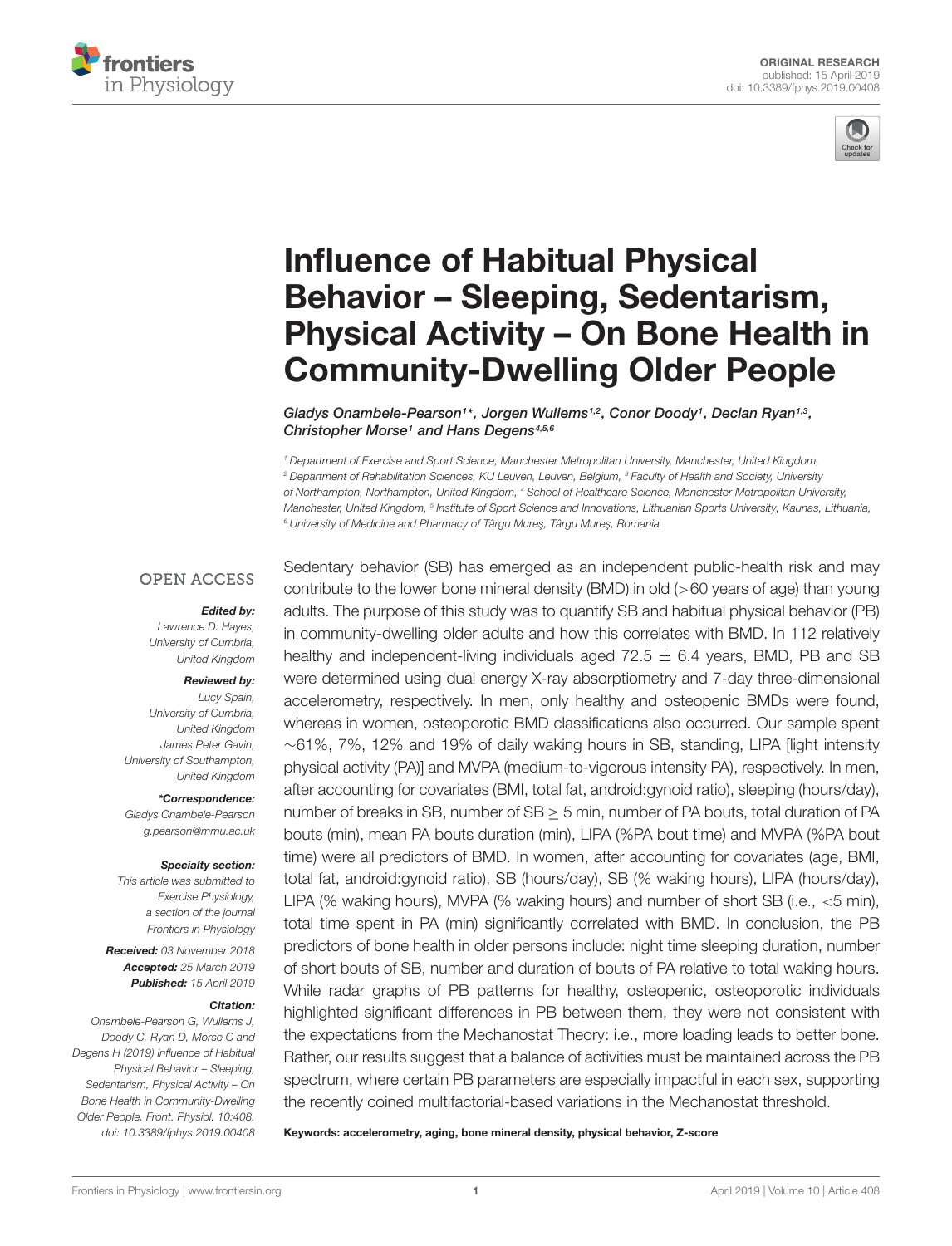



# Influence of Habitual Physical Behavior – Sleeping, Sedentarism, [Physical Activity – On Bone Health in](https://www.frontiersin.org/articles/10.3389/fphys.2019.00408/full) Community-Dwelling Older People

[Gladys Onambele-Pearson](http://loop.frontiersin.org/people/473713/overview)<sup>1\*</sup>, [Jorgen Wullems](http://loop.frontiersin.org/people/654938/overview)<sup>1,2</sup>, [Conor Doody](http://loop.frontiersin.org/people/690089/overview)<sup>1</sup>, [Declan Ryan](http://loop.frontiersin.org/people/714611/overview)<sup>1,3</sup>, [Christopher Morse](http://loop.frontiersin.org/people/471026/overview)<sup>1</sup> and [Hans Degens](http://loop.frontiersin.org/people/44629/overview)<sup>4,5,6</sup>

<sup>1</sup> Department of Exercise and Sport Science, Manchester Metropolitan University, Manchester, United Kingdom, <sup>2</sup> Department of Rehabilitation Sciences, KU Leuven, Leuven, Belgium, <sup>3</sup> Faculty of Health and Society, University of Northampton, Northampton, United Kingdom, <sup>4</sup> School of Healthcare Science, Manchester Metropolitan University, Manchester, United Kingdom, <sup>s</sup> Institute of Sport Science and Innovations, Lithuanian Sports University, Kaunas, Lithuania, <sup>6</sup> University of Medicine and Pharmacy of Târgu Mures, Târgu Mures, Romania

### **OPEN ACCESS**

#### Edited by:

Lawrence D. Hayes, University of Cumbria, United Kingdom

#### Reviewed by:

Lucy Spain, University of Cumbria, United Kingdom James Peter Gavin, University of Southampton, United Kingdom

\*Correspondence:

Gladys Onambele-Pearson g.pearson@mmu.ac.uk

#### Specialty section:

This article was submitted to Exercise Physiology, a section of the journal Frontiers in Physiology

Received: 03 November 2018 Accepted: 25 March 2019 Published: 15 April 2019

#### Citation:

Onambele-Pearson G, Wullems J, Doody C, Ryan D, Morse C and Degens H (2019) Influence of Habitual Physical Behavior – Sleeping, Sedentarism, Physical Activity – On Bone Health in Community-Dwelling Older People. Front. Physiol. 10:408. doi: [10.3389/fphys.2019.00408](https://doi.org/10.3389/fphys.2019.00408) Sedentary behavior (SB) has emerged as an independent public-health risk and may contribute to the lower bone mineral density (BMD) in old (>60 years of age) than young adults. The purpose of this study was to quantify SB and habitual physical behavior (PB) in community-dwelling older adults and how this correlates with BMD. In 112 relatively healthy and independent-living individuals aged  $72.5 \pm 6.4$  years, BMD, PB and SB were determined using dual energy X-ray absorptiometry and 7-day three-dimensional accelerometry, respectively. In men, only healthy and osteopenic BMDs were found, whereas in women, osteoporotic BMD classifications also occurred. Our sample spent ∼61%, 7%, 12% and 19% of daily waking hours in SB, standing, LIPA [light intensity physical activity (PA)] and MVPA (medium-to-vigorous intensity PA), respectively. In men, after accounting for covariates (BMI, total fat, android:gynoid ratio), sleeping (hours/day), number of breaks in SB, number of SB  $\geq$  5 min, number of PA bouts, total duration of PA bouts (min), mean PA bouts duration (min), LIPA (%PA bout time) and MVPA (%PA bout time) were all predictors of BMD. In women, after accounting for covariates (age, BMI, total fat, android:gynoid ratio), SB (hours/day), SB (% waking hours), LIPA (hours/day), LIPA (% waking hours), MVPA (% waking hours) and number of short SB (i.e., <5 min), total time spent in PA (min) significantly correlated with BMD. In conclusion, the PB predictors of bone health in older persons include: night time sleeping duration, number of short bouts of SB, number and duration of bouts of PA relative to total waking hours. While radar graphs of PB patterns for healthy, osteopenic, osteoporotic individuals highlighted significant differences in PB between them, they were not consistent with the expectations from the Mechanostat Theory: i.e., more loading leads to better bone. Rather, our results suggest that a balance of activities must be maintained across the PB spectrum, where certain PB parameters are especially impactful in each sex, supporting the recently coined multifactorial-based variations in the Mechanostat threshold.

Keywords: accelerometry, aging, bone mineral density, physical behavior, Z-score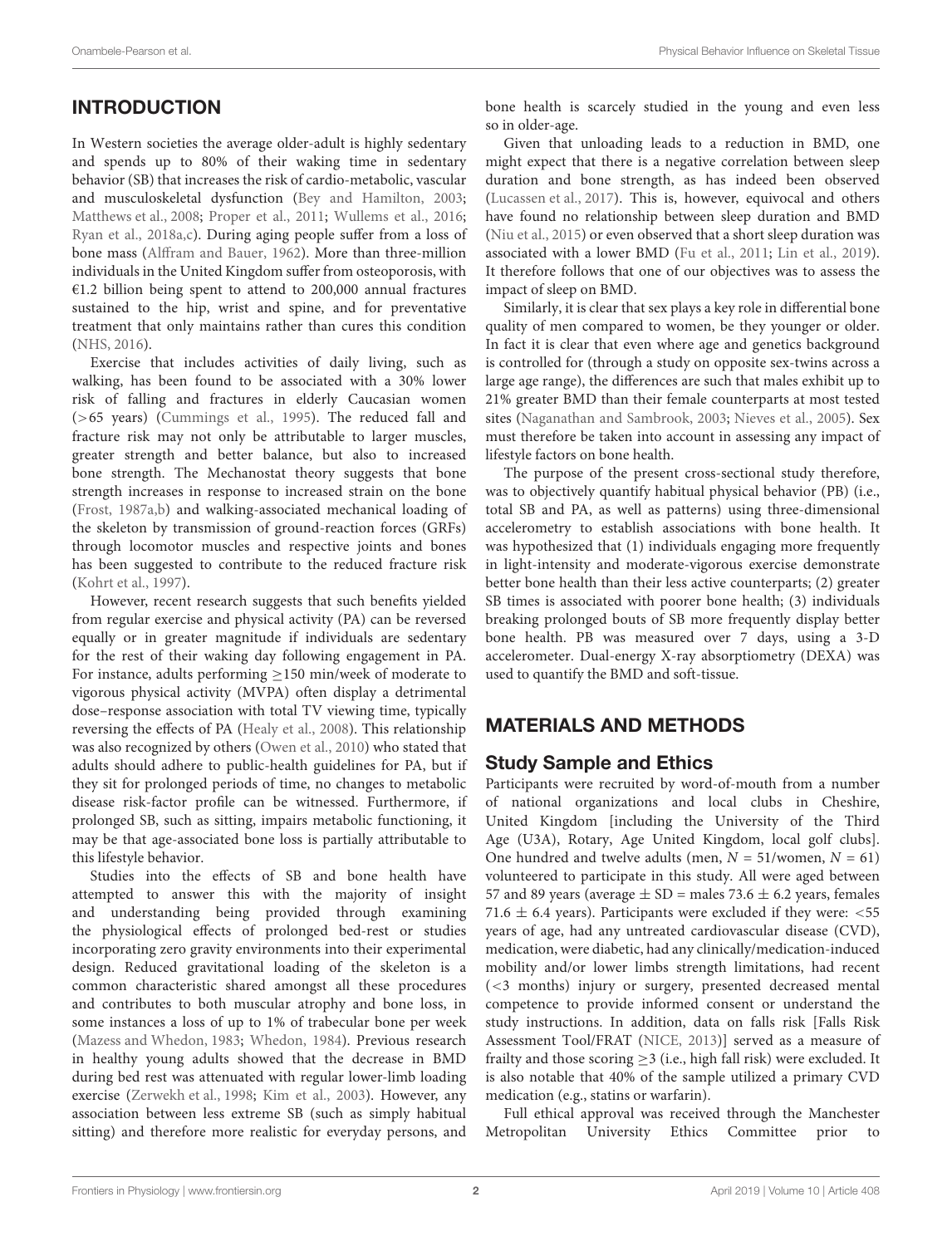# **INTRODUCTION**

In Western societies the average older-adult is highly sedentary and spends up to 80% of their waking time in sedentary behavior (SB) that increases the risk of cardio-metabolic, vascular and musculoskeletal dysfunction [\(Bey and Hamilton,](#page-12-0) [2003;](#page-12-0) [Matthews et al.,](#page-13-0) [2008;](#page-13-0) [Proper et al.,](#page-13-1) [2011;](#page-13-1) [Wullems et al.,](#page-14-0) [2016;](#page-14-0) [Ryan et al.,](#page-13-2) [2018a,](#page-13-2)[c\)](#page-13-3). During aging people suffer from a loss of bone mass [\(Alffram and Bauer,](#page-12-1) [1962\)](#page-12-1). More than three-million individuals in the United Kingdom suffer from osteoporosis, with €1.2 billion being spent to attend to 200,000 annual fractures sustained to the hip, wrist and spine, and for preventative treatment that only maintains rather than cures this condition [\(NHS,](#page-13-4) [2016\)](#page-13-4).

Exercise that includes activities of daily living, such as walking, has been found to be associated with a 30% lower risk of falling and fractures in elderly Caucasian women (>65 years) [\(Cummings et al.,](#page-12-2) [1995\)](#page-12-2). The reduced fall and fracture risk may not only be attributable to larger muscles, greater strength and better balance, but also to increased bone strength. The Mechanostat theory suggests that bone strength increases in response to increased strain on the bone [\(Frost,](#page-13-5) [1987a,](#page-13-5)[b\)](#page-13-6) and walking-associated mechanical loading of the skeleton by transmission of ground-reaction forces (GRFs) through locomotor muscles and respective joints and bones has been suggested to contribute to the reduced fracture risk [\(Kohrt et al.,](#page-13-7) [1997\)](#page-13-7).

However, recent research suggests that such benefits yielded from regular exercise and physical activity (PA) can be reversed equally or in greater magnitude if individuals are sedentary for the rest of their waking day following engagement in PA. For instance, adults performing ≥150 min/week of moderate to vigorous physical activity (MVPA) often display a detrimental dose–response association with total TV viewing time, typically reversing the effects of PA [\(Healy et al.,](#page-13-8) [2008\)](#page-13-8). This relationship was also recognized by others [\(Owen et al.,](#page-13-9) [2010\)](#page-13-9) who stated that adults should adhere to public-health guidelines for PA, but if they sit for prolonged periods of time, no changes to metabolic disease risk-factor profile can be witnessed. Furthermore, if prolonged SB, such as sitting, impairs metabolic functioning, it may be that age-associated bone loss is partially attributable to this lifestyle behavior.

Studies into the effects of SB and bone health have attempted to answer this with the majority of insight and understanding being provided through examining the physiological effects of prolonged bed-rest or studies incorporating zero gravity environments into their experimental design. Reduced gravitational loading of the skeleton is a common characteristic shared amongst all these procedures and contributes to both muscular atrophy and bone loss, in some instances a loss of up to 1% of trabecular bone per week [\(Mazess and Whedon,](#page-13-10) [1983;](#page-13-10) [Whedon,](#page-14-1) [1984\)](#page-14-1). Previous research in healthy young adults showed that the decrease in BMD during bed rest was attenuated with regular lower-limb loading exercise [\(Zerwekh et al.,](#page-14-2) [1998;](#page-14-2) [Kim et al.,](#page-13-11) [2003\)](#page-13-11). However, any association between less extreme SB (such as simply habitual sitting) and therefore more realistic for everyday persons, and

bone health is scarcely studied in the young and even less so in older-age.

Given that unloading leads to a reduction in BMD, one might expect that there is a negative correlation between sleep duration and bone strength, as has indeed been observed [\(Lucassen et al.,](#page-13-12) [2017\)](#page-13-12). This is, however, equivocal and others have found no relationship between sleep duration and BMD [\(Niu et al.,](#page-13-13) [2015\)](#page-13-13) or even observed that a short sleep duration was associated with a lower BMD [\(Fu et al.,](#page-13-14) [2011;](#page-13-14) [Lin et al.,](#page-13-15) [2019\)](#page-13-15). It therefore follows that one of our objectives was to assess the impact of sleep on BMD.

Similarly, it is clear that sex plays a key role in differential bone quality of men compared to women, be they younger or older. In fact it is clear that even where age and genetics background is controlled for (through a study on opposite sex-twins across a large age range), the differences are such that males exhibit up to 21% greater BMD than their female counterparts at most tested sites [\(Naganathan and Sambrook,](#page-13-16) [2003;](#page-13-16) [Nieves et al.,](#page-13-17) [2005\)](#page-13-17). Sex must therefore be taken into account in assessing any impact of lifestyle factors on bone health.

The purpose of the present cross-sectional study therefore, was to objectively quantify habitual physical behavior (PB) (i.e., total SB and PA, as well as patterns) using three-dimensional accelerometry to establish associations with bone health. It was hypothesized that (1) individuals engaging more frequently in light-intensity and moderate-vigorous exercise demonstrate better bone health than their less active counterparts; (2) greater SB times is associated with poorer bone health; (3) individuals breaking prolonged bouts of SB more frequently display better bone health. PB was measured over 7 days, using a 3-D accelerometer. Dual-energy X-ray absorptiometry (DEXA) was used to quantify the BMD and soft-tissue.

# MATERIALS AND METHODS

# Study Sample and Ethics

Participants were recruited by word-of-mouth from a number of national organizations and local clubs in Cheshire, United Kingdom [including the University of the Third Age (U3A), Rotary, Age United Kingdom, local golf clubs]. One hundred and twelve adults (men,  $N = 51$ /women,  $N = 61$ ) volunteered to participate in this study. All were aged between 57 and 89 years (average  $\pm$  SD = males 73.6  $\pm$  6.2 years, females 71.6  $\pm$  6.4 years). Participants were excluded if they were: <55 years of age, had any untreated cardiovascular disease (CVD), medication, were diabetic, had any clinically/medication-induced mobility and/or lower limbs strength limitations, had recent (<3 months) injury or surgery, presented decreased mental competence to provide informed consent or understand the study instructions. In addition, data on falls risk [Falls Risk Assessment Tool/FRAT [\(NICE,](#page-13-18) [2013\)](#page-13-18)] served as a measure of frailty and those scoring  $\geq$ 3 (i.e., high fall risk) were excluded. It is also notable that 40% of the sample utilized a primary CVD medication (e.g., statins or warfarin).

Full ethical approval was received through the Manchester Metropolitan University Ethics Committee prior to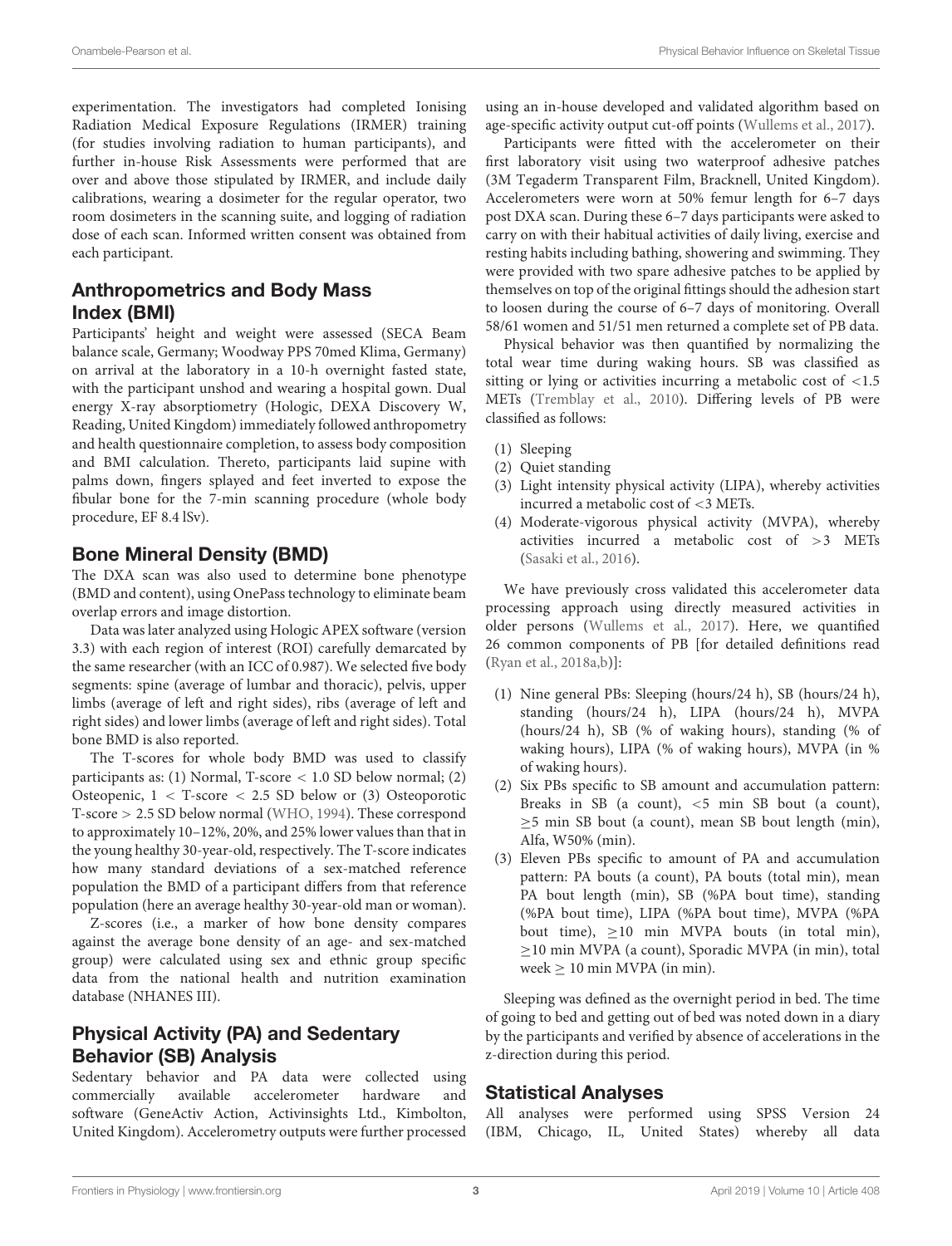experimentation. The investigators had completed Ionising Radiation Medical Exposure Regulations (IRMER) training (for studies involving radiation to human participants), and further in-house Risk Assessments were performed that are over and above those stipulated by IRMER, and include daily calibrations, wearing a dosimeter for the regular operator, two room dosimeters in the scanning suite, and logging of radiation dose of each scan. Informed written consent was obtained from each participant.

# Anthropometrics and Body Mass Index (BMI)

Participants' height and weight were assessed (SECA Beam balance scale, Germany; Woodway PPS 70med Klima, Germany) on arrival at the laboratory in a 10-h overnight fasted state, with the participant unshod and wearing a hospital gown. Dual energy X-ray absorptiometry (Hologic, DEXA Discovery W, Reading, United Kingdom) immediately followed anthropometry and health questionnaire completion, to assess body composition and BMI calculation. Thereto, participants laid supine with palms down, fingers splayed and feet inverted to expose the fibular bone for the 7-min scanning procedure (whole body procedure, EF 8.4 lSv).

### Bone Mineral Density (BMD)

The DXA scan was also used to determine bone phenotype (BMD and content), using OnePass technology to eliminate beam overlap errors and image distortion.

Data was later analyzed using Hologic APEX software (version 3.3) with each region of interest (ROI) carefully demarcated by the same researcher (with an ICC of 0.987). We selected five body segments: spine (average of lumbar and thoracic), pelvis, upper limbs (average of left and right sides), ribs (average of left and right sides) and lower limbs (average of left and right sides). Total bone BMD is also reported.

The T-scores for whole body BMD was used to classify participants as: (1) Normal, T-score < 1.0 SD below normal; (2) Osteopenic,  $1 < T$ -score  $< 2.5$  SD below or (3) Osteoporotic T-score > 2.5 SD below normal [\(WHO,](#page-14-3) [1994\)](#page-14-3). These correspond to approximately 10–12%, 20%, and 25% lower values than that in the young healthy 30-year-old, respectively. The T-score indicates how many standard deviations of a sex-matched reference population the BMD of a participant differs from that reference population (here an average healthy 30-year-old man or woman).

Z-scores (i.e., a marker of how bone density compares against the average bone density of an age- and sex-matched group) were calculated using sex and ethnic group specific data from the national health and nutrition examination database (NHANES III).

### Physical Activity (PA) and Sedentary Behavior (SB) Analysis

Sedentary behavior and PA data were collected using commercially available accelerometer hardware and software (GeneActiv Action, Activinsights Ltd., Kimbolton, United Kingdom). Accelerometry outputs were further processed using an in-house developed and validated algorithm based on age-specific activity output cut-off points [\(Wullems et al.,](#page-14-4) [2017\)](#page-14-4).

Participants were fitted with the accelerometer on their first laboratory visit using two waterproof adhesive patches (3M Tegaderm Transparent Film, Bracknell, United Kingdom). Accelerometers were worn at 50% femur length for 6–7 days post DXA scan. During these 6–7 days participants were asked to carry on with their habitual activities of daily living, exercise and resting habits including bathing, showering and swimming. They were provided with two spare adhesive patches to be applied by themselves on top of the original fittings should the adhesion start to loosen during the course of 6–7 days of monitoring. Overall 58/61 women and 51/51 men returned a complete set of PB data.

Physical behavior was then quantified by normalizing the total wear time during waking hours. SB was classified as sitting or lying or activities incurring a metabolic cost of <1.5 METs [\(Tremblay et al.,](#page-14-5) [2010\)](#page-14-5). Differing levels of PB were classified as follows:

- (1) Sleeping
- (2) Quiet standing
- (3) Light intensity physical activity (LIPA), whereby activities incurred a metabolic cost of <3 METs.
- (4) Moderate-vigorous physical activity (MVPA), whereby activities incurred a metabolic cost of >3 METs [\(Sasaki et al.,](#page-13-19) [2016\)](#page-13-19).

We have previously cross validated this accelerometer data processing approach using directly measured activities in older persons [\(Wullems et al.,](#page-14-4) [2017\)](#page-14-4). Here, we quantified 26 common components of PB [for detailed definitions read [\(Ryan et al.,](#page-13-2) [2018a](#page-13-2)[,b\)](#page-13-20)]:

- (1) Nine general PBs: Sleeping (hours/24 h), SB (hours/24 h), standing (hours/24 h), LIPA (hours/24 h), MVPA (hours/24 h), SB (% of waking hours), standing (% of waking hours), LIPA (% of waking hours), MVPA (in % of waking hours).
- (2) Six PBs specific to SB amount and accumulation pattern: Breaks in SB (a count), <5 min SB bout (a count),  $\geq$ 5 min SB bout (a count), mean SB bout length (min), Alfa, W50% (min).
- (3) Eleven PBs specific to amount of PA and accumulation pattern: PA bouts (a count), PA bouts (total min), mean PA bout length (min), SB (%PA bout time), standing (%PA bout time), LIPA (%PA bout time), MVPA (%PA bout time),  $\geq$ 10 min MVPA bouts (in total min), ≥10 min MVPA (a count), Sporadic MVPA (in min), total week  $\geq 10$  min MVPA (in min).

Sleeping was defined as the overnight period in bed. The time of going to bed and getting out of bed was noted down in a diary by the participants and verified by absence of accelerations in the z-direction during this period.

### Statistical Analyses

All analyses were performed using SPSS Version 24 (IBM, Chicago, IL, United States) whereby all data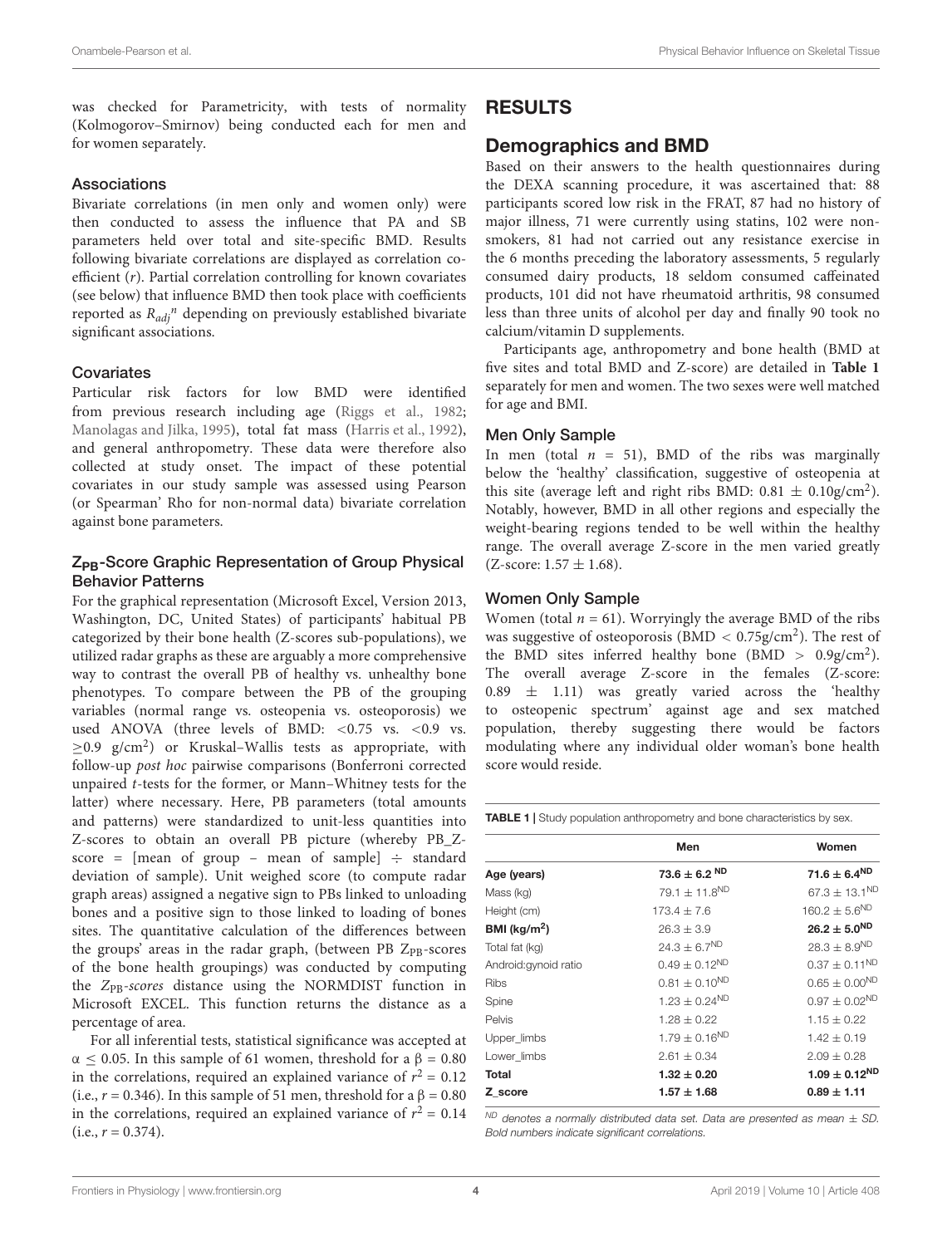was checked for Parametricity, with tests of normality (Kolmogorov–Smirnov) being conducted each for men and for women separately.

### Associations

Bivariate correlations (in men only and women only) were then conducted to assess the influence that PA and SB parameters held over total and site-specific BMD. Results following bivariate correlations are displayed as correlation coefficient (r). Partial correlation controlling for known covariates (see below) that influence BMD then took place with coefficients reported as  $R_{adj}$ <sup>n</sup> depending on previously established bivariate significant associations.

### **Covariates**

Particular risk factors for low BMD were identified from previous research including age [\(Riggs et al.,](#page-13-21) [1982;](#page-13-21) [Manolagas and Jilka,](#page-13-22) [1995\)](#page-13-22), total fat mass [\(Harris et al.,](#page-13-23) [1992\)](#page-13-23), and general anthropometry. These data were therefore also collected at study onset. The impact of these potential covariates in our study sample was assessed using Pearson (or Spearman' Rho for non-normal data) bivariate correlation against bone parameters.

### Z<sub>PB</sub>-Score Graphic Representation of Group Physical Behavior Patterns

For the graphical representation (Microsoft Excel, Version 2013, Washington, DC, United States) of participants' habitual PB categorized by their bone health (Z-scores sub-populations), we utilized radar graphs as these are arguably a more comprehensive way to contrast the overall PB of healthy vs. unhealthy bone phenotypes. To compare between the PB of the grouping variables (normal range vs. osteopenia vs. osteoporosis) we used ANOVA (three levels of BMD: <0.75 vs. <0.9 vs.  $\geq$ 0.9 g/cm<sup>2</sup>) or Kruskal-Wallis tests as appropriate, with follow-up post hoc pairwise comparisons (Bonferroni corrected unpaired t-tests for the former, or Mann–Whitney tests for the latter) where necessary. Here, PB parameters (total amounts and patterns) were standardized to unit-less quantities into Z-scores to obtain an overall PB picture (whereby PB\_Zscore = [mean of group – mean of sample]  $\div$  standard deviation of sample). Unit weighed score (to compute radar graph areas) assigned a negative sign to PBs linked to unloading bones and a positive sign to those linked to loading of bones sites. The quantitative calculation of the differences between the groups' areas in the radar graph, (between PB Z<sub>PB</sub>-scores of the bone health groupings) was conducted by computing the Z<sub>PB</sub>-scores distance using the NORMDIST function in Microsoft EXCEL. This function returns the distance as a percentage of area.

For all inferential tests, statistical significance was accepted at α  $\leq$  0.05. In this sample of 61 women, threshold for a β = 0.80 in the correlations, required an explained variance of  $r^2 = 0.12$ (i.e.,  $r = 0.346$ ). In this sample of 51 men, threshold for a  $\beta = 0.80$ in the correlations, required an explained variance of  $r^2 = 0.14$  $(i.e., r = 0.374).$ 

### RESULTS

### Demographics and BMD

Based on their answers to the health questionnaires during the DEXA scanning procedure, it was ascertained that: 88 participants scored low risk in the FRAT, 87 had no history of major illness, 71 were currently using statins, 102 were nonsmokers, 81 had not carried out any resistance exercise in the 6 months preceding the laboratory assessments, 5 regularly consumed dairy products, 18 seldom consumed caffeinated products, 101 did not have rheumatoid arthritis, 98 consumed less than three units of alcohol per day and finally 90 took no calcium/vitamin D supplements.

Participants age, anthropometry and bone health (BMD at five sites and total BMD and Z-score) are detailed in **[Table 1](#page-3-0)** separately for men and women. The two sexes were well matched for age and BMI.

#### Men Only Sample

In men (total  $n = 51$ ), BMD of the ribs was marginally below the 'healthy' classification, suggestive of osteopenia at this site (average left and right ribs BMD:  $0.81 \pm 0.10$ g/cm<sup>2</sup>). Notably, however, BMD in all other regions and especially the weight-bearing regions tended to be well within the healthy range. The overall average Z-score in the men varied greatly  $(Z$ -score:  $1.57 \pm 1.68$ ).

#### Women Only Sample

Women (total  $n = 61$ ). Worryingly the average BMD of the ribs was suggestive of osteoporosis ( $BMD < 0.75g/cm<sup>2</sup>$ ). The rest of the BMD sites inferred healthy bone (BMD  $> 0.9$ g/cm<sup>2</sup>). The overall average Z-score in the females (Z-score:  $0.89 \pm 1.11$ ) was greatly varied across the 'healthy to osteopenic spectrum' against age and sex matched population, thereby suggesting there would be factors modulating where any individual older woman's bone health score would reside.

<span id="page-3-0"></span>TABLE 1 | Study population anthropometry and bone characteristics by sex.

|                         | Men                           | Women                       |
|-------------------------|-------------------------------|-----------------------------|
| Age (years)             | $73.6 \pm 6.2$ ND             | $71.6 \pm 6.4^{ND}$         |
| Mass (kg)               | 79.1 $\pm$ 11.8 <sup>ND</sup> | $67.3 \pm 13.1^{\text{ND}}$ |
| Height (cm)             | $173.4 + 7.6$                 | $160.2 \pm 5.6^{ND}$        |
| BMI ( $\text{kg/m}^2$ ) | $26.3 + 3.9$                  | $26.2 \pm 5.0^{ND}$         |
| Total fat (kg)          | $24.3 \pm 6.7^{ND}$           | $28.3 \pm 8.9^{ND}$         |
| Android: gynoid ratio   | $0.49 \pm 0.12^{ND}$          | $0.37 \pm 0.11^{ND}$        |
| <b>Ribs</b>             | $0.81 \pm 0.10^{ND}$          | $0.65 \pm 0.00^{ND}$        |
| Spine                   | $1.23 \pm 0.24^{ND}$          | $0.97 \pm 0.02^{ND}$        |
| <b>Pelvis</b>           | $1.28 + 0.22$                 | $1.15 + 0.22$               |
| Upper_limbs             | $1.79 \pm 0.16^{ND}$          | $1.42 + 0.19$               |
| Lower limbs             | $2.61 + 0.34$                 | $2.09 + 0.28$               |
| Total                   | $1.32 \pm 0.20$               | $1.09 \pm 0.12^{ND}$        |
| Z score                 | $1.57 \pm 1.68$               | $0.89 \pm 1.11$             |

<sup>ND</sup> denotes a normally distributed data set. Data are presented as mean  $\pm$  SD. Bold numbers indicate significant correlations.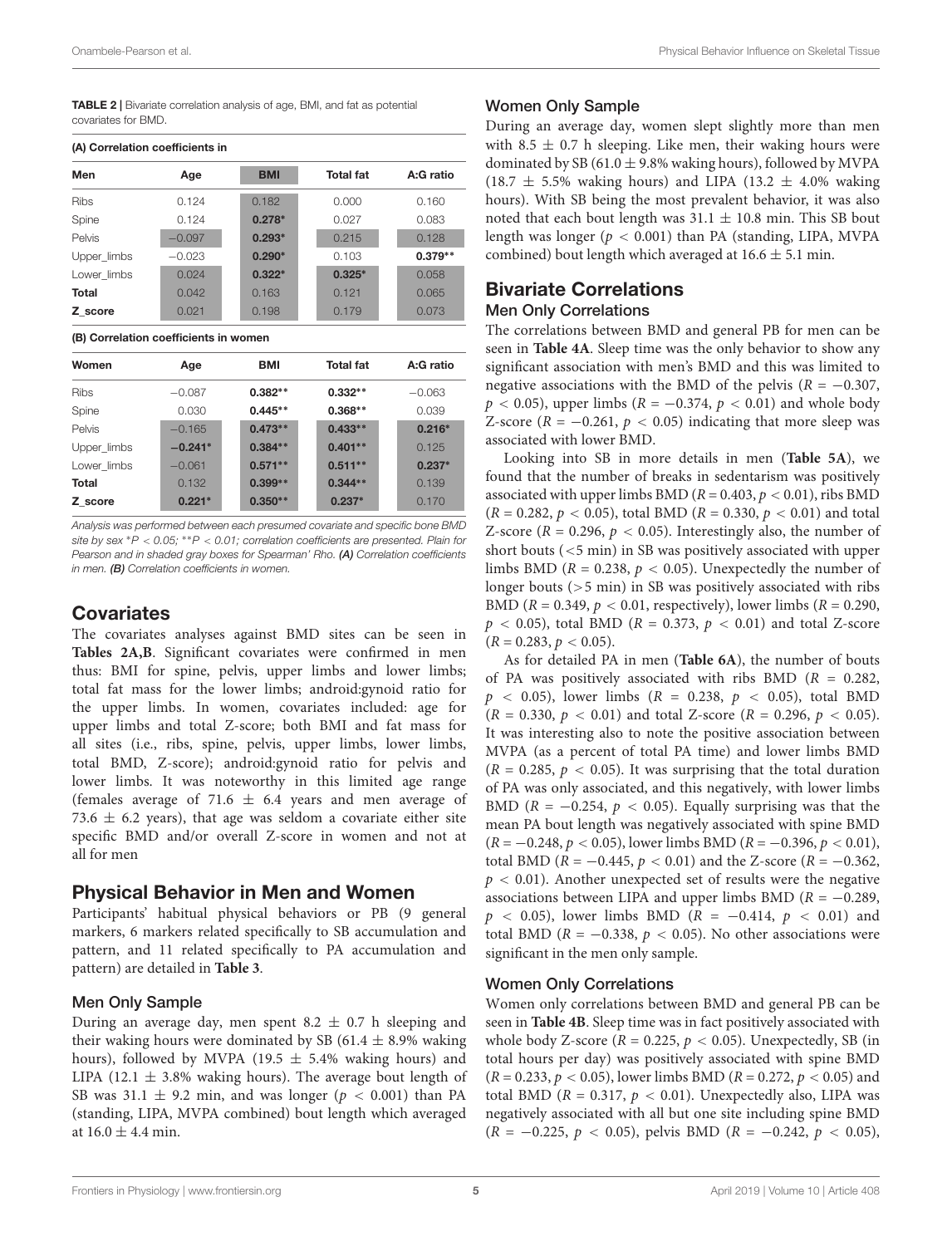<span id="page-4-0"></span>TABLE 2 | Bivariate correlation analysis of age, BMI, and fat as potential covariates for BMD.

#### (A) Correlation coefficients in

| Men         | Age      | <b>BMI</b> | <b>Total fat</b> | A:G ratio |
|-------------|----------|------------|------------------|-----------|
| <b>Ribs</b> | 0.124    | 0.182      | 0.000            | 0.160     |
| Spine       | 0.124    | $0.278*$   | 0.027            | 0.083     |
| Pelvis      | $-0.097$ | $0.293*$   | 0.215            | 0.128     |
| Upper_limbs | $-0.023$ | $0.290*$   | 0.103            | $0.379**$ |
| Lower limbs | 0.024    | $0.322*$   | $0.325*$         | 0.058     |
| Total       | 0.042    | 0.163      | 0.121            | 0.065     |
| Z score     | 0.021    | 0.198      | 0.179            | 0.073     |

#### (B) Correlation coefficients in women

| Women       | Age       | <b>BMI</b> | <b>Total fat</b> | A:G ratio |
|-------------|-----------|------------|------------------|-----------|
| <b>Ribs</b> | $-0.087$  | $0.382**$  | $0.332**$        | $-0.063$  |
| Spine       | 0.030     | $0.445**$  | $0.368**$        | 0.039     |
| Pelvis      | $-0.165$  | $0.473**$  | $0.433**$        | $0.216*$  |
| Upper limbs | $-0.241*$ | $0.384**$  | $0.401**$        | 0.125     |
| Lower limbs | $-0.061$  | $0.571**$  | $0.511**$        | $0.237*$  |
| Total       | 0.132     | $0.399**$  | $0.344**$        | 0.139     |
| Z score     | $0.221*$  | $0.350**$  | $0.237*$         | 0.170     |

Analysis was performed between each presumed covariate and specific bone BMD site by sex \*P < 0.05; \*\*P < 0.01; correlation coefficients are presented. Plain for Pearson and in shaded gray boxes for Spearman' Rho. (A) Correlation coefficients in men. (B) Correlation coefficients in women.

### **Covariates**

The covariates analyses against BMD sites can be seen in **[Tables 2A,B](#page-4-0)**. Significant covariates were confirmed in men thus: BMI for spine, pelvis, upper limbs and lower limbs; total fat mass for the lower limbs; android:gynoid ratio for the upper limbs. In women, covariates included: age for upper limbs and total Z-score; both BMI and fat mass for all sites (i.e., ribs, spine, pelvis, upper limbs, lower limbs, total BMD, Z-score); android:gynoid ratio for pelvis and lower limbs. It was noteworthy in this limited age range (females average of 71.6  $\pm$  6.4 years and men average of 73.6  $\pm$  6.2 years), that age was seldom a covariate either site specific BMD and/or overall Z-score in women and not at all for men

### Physical Behavior in Men and Women

Participants' habitual physical behaviors or PB (9 general markers, 6 markers related specifically to SB accumulation and pattern, and 11 related specifically to PA accumulation and pattern) are detailed in **[Table 3](#page-5-0)**.

### Men Only Sample

During an average day, men spent  $8.2 \pm 0.7$  h sleeping and their waking hours were dominated by SB (61.4  $\pm$  8.9% waking hours), followed by MVPA (19.5  $\pm$  5.4% waking hours) and LIPA (12.1  $\pm$  3.8% waking hours). The average bout length of SB was 31.1  $\pm$  9.2 min, and was longer ( $p < 0.001$ ) than PA (standing, LIPA, MVPA combined) bout length which averaged at  $16.0 \pm 4.4$  min.

### Women Only Sample

During an average day, women slept slightly more than men with 8.5  $\pm$  0.7 h sleeping. Like men, their waking hours were dominated by SB (61.0  $\pm$  9.8% waking hours), followed by MVPA  $(18.7 \pm 5.5\%$  waking hours) and LIPA  $(13.2 \pm 4.0\%$  waking hours). With SB being the most prevalent behavior, it was also noted that each bout length was  $31.1 \pm 10.8$  min. This SB bout length was longer ( $p < 0.001$ ) than PA (standing, LIPA, MVPA combined) bout length which averaged at  $16.6 \pm 5.1$  min.

### Bivariate Correlations

#### Men Only Correlations

The correlations between BMD and general PB for men can be seen in **[Table 4A](#page-6-0)**. Sleep time was the only behavior to show any significant association with men's BMD and this was limited to negative associations with the BMD of the pelvis ( $R = -0.307$ ,  $p < 0.05$ ), upper limbs ( $R = -0.374$ ,  $p < 0.01$ ) and whole body Z-score ( $R = -0.261$ ,  $p < 0.05$ ) indicating that more sleep was associated with lower BMD.

Looking into SB in more details in men (**[Table 5A](#page-7-0)**), we found that the number of breaks in sedentarism was positively associated with upper limbs BMD ( $R = 0.403$ ,  $p < 0.01$ ), ribs BMD  $(R = 0.282, p < 0.05)$ , total BMD  $(R = 0.330, p < 0.01)$  and total Z-score ( $R = 0.296$ ,  $p < 0.05$ ). Interestingly also, the number of short bouts (<5 min) in SB was positively associated with upper limbs BMD ( $R = 0.238$ ,  $p < 0.05$ ). Unexpectedly the number of longer bouts (>5 min) in SB was positively associated with ribs BMD ( $R = 0.349$ ,  $p < 0.01$ , respectively), lower limbs ( $R = 0.290$ ,  $p < 0.05$ ), total BMD ( $R = 0.373$ ,  $p < 0.01$ ) and total Z-score  $(R = 0.283, p < 0.05).$ 

As for detailed PA in men (**[Table 6A](#page-8-0)**), the number of bouts of PA was positively associated with ribs BMD ( $R = 0.282$ ,  $p \sim 0.05$ ), lower limbs ( $R = 0.238$ ,  $p \sim 0.05$ ), total BMD  $(R = 0.330, p < 0.01)$  and total Z-score  $(R = 0.296, p < 0.05)$ . It was interesting also to note the positive association between MVPA (as a percent of total PA time) and lower limbs BMD  $(R = 0.285, p < 0.05)$ . It was surprising that the total duration of PA was only associated, and this negatively, with lower limbs BMD ( $R = -0.254$ ,  $p < 0.05$ ). Equally surprising was that the mean PA bout length was negatively associated with spine BMD  $(R = -0.248, p < 0.05)$ , lower limbs BMD  $(R = -0.396, p < 0.01)$ , total BMD ( $R = -0.445$ ,  $p < 0.01$ ) and the Z-score ( $R = -0.362$ ,  $p < 0.01$ ). Another unexpected set of results were the negative associations between LIPA and upper limbs BMD ( $R = -0.289$ ,  $p \sim 0.05$ ), lower limbs BMD ( $R = -0.414$ ,  $p \sim 0.01$ ) and total BMD ( $R = -0.338$ ,  $p < 0.05$ ). No other associations were significant in the men only sample.

### Women Only Correlations

Women only correlations between BMD and general PB can be seen in **[Table 4B](#page-6-0)**. Sleep time was in fact positively associated with whole body Z-score ( $R = 0.225$ ,  $p < 0.05$ ). Unexpectedly, SB (in total hours per day) was positively associated with spine BMD  $(R = 0.233, p < 0.05)$ , lower limbs BMD  $(R = 0.272, p < 0.05)$  and total BMD ( $R = 0.317$ ,  $p < 0.01$ ). Unexpectedly also, LIPA was negatively associated with all but one site including spine BMD  $(R = -0.225, p < 0.05)$ , pelvis BMD  $(R = -0.242, p < 0.05)$ ,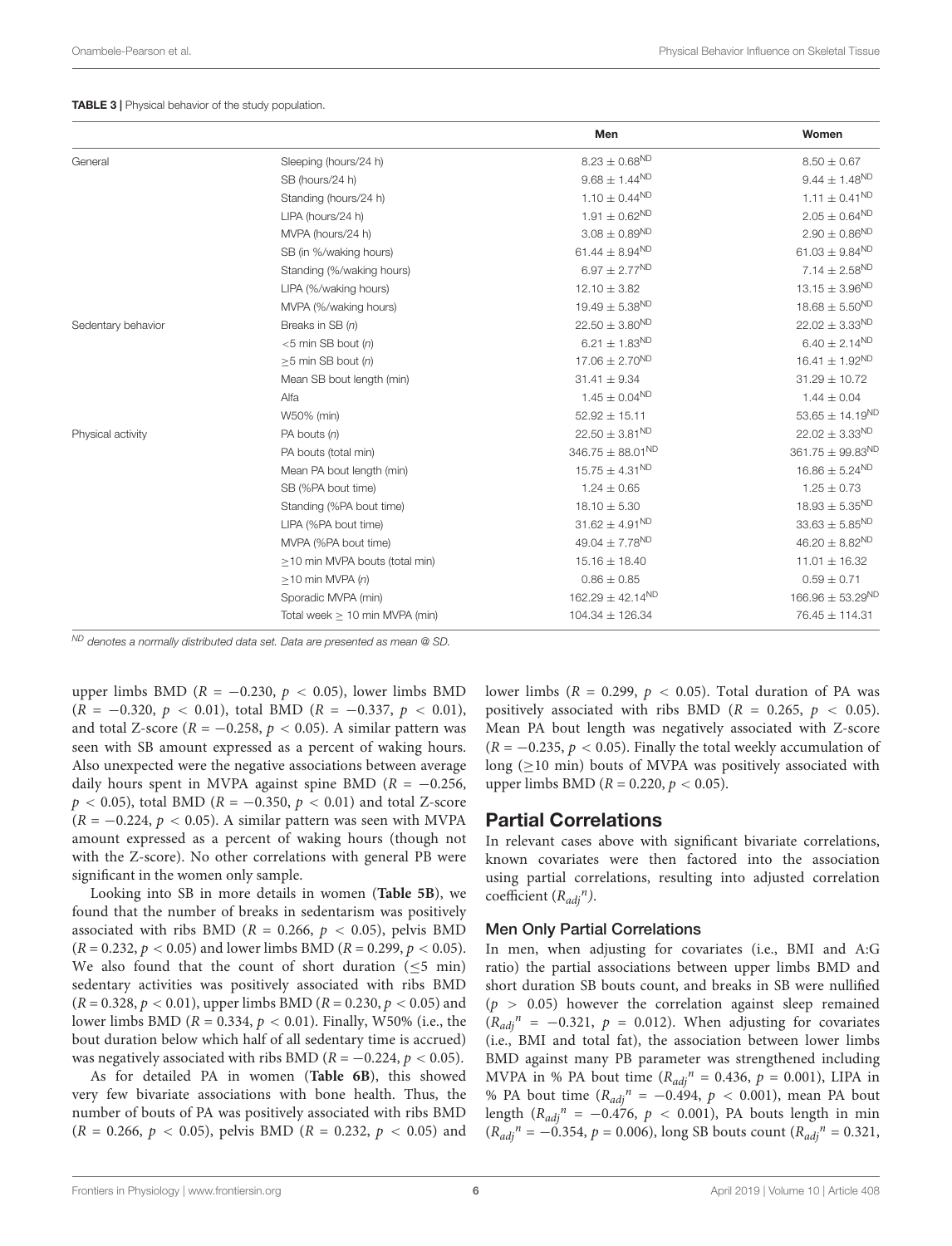#### <span id="page-5-0"></span>TABLE 3 | Physical behavior of the study population.

| $8.23 \pm 0.68^{ND}$<br>General<br>Sleeping (hours/24 h)<br>$9.68 \pm 1.44^{ND}$<br>SB (hours/24 h) | $8.50 \pm 0.67$<br>$9.44 \pm 1.48^{\text{ND}}$<br>$1.11 \pm 0.41^{ND}$<br>$2.05 \pm 0.64^{ND}$ |
|-----------------------------------------------------------------------------------------------------|------------------------------------------------------------------------------------------------|
|                                                                                                     |                                                                                                |
|                                                                                                     |                                                                                                |
| $1.10 \pm 0.44^{ND}$<br>Standing (hours/24 h)                                                       |                                                                                                |
| $1.91 \pm 0.62^{ND}$<br>LIPA (hours/24 h)                                                           |                                                                                                |
| $3.08 \pm 0.89^{ND}$<br>MVPA (hours/24 h)                                                           | $2.90\pm0.86^{\text{ND}}$                                                                      |
| 61.44 $\pm$ 8.94 <sup>ND</sup><br>SB (in %/waking hours)                                            | 61.03 $\pm$ 9.84 <sup>ND</sup>                                                                 |
| $6.97 \pm 2.77^{ND}$<br>Standing (%/waking hours)                                                   | $7.14 \pm 2.58^{ND}$                                                                           |
| $12.10 \pm 3.82$<br>LIPA (%/waking hours)                                                           | $13.15 \pm 3.96^{ND}$                                                                          |
| $19.49 \pm 5.38^{ND}$<br>MVPA (%/waking hours)                                                      | $18.68 \pm 5.50^{ND}$                                                                          |
| $22.50 \pm 3.80^{ND}$<br>Sedentary behavior<br>Breaks in SB (n)                                     | $22.02 \pm 3.33^{ND}$                                                                          |
| 6.21 $\pm$ 1.83 <sup>ND</sup><br>$<$ 5 min SB bout (n)                                              | 6.40 $\pm$ 2.14 <sup>ND</sup>                                                                  |
| $17.06 \pm 2.70^{ND}$<br>$\geq$ 5 min SB bout (n)                                                   | $16.41 \pm 1.92^{ND}$                                                                          |
| $31.41 \pm 9.34$<br>Mean SB bout length (min)                                                       | $31.29 \pm 10.72$                                                                              |
| $1.45 \pm 0.04^{ND}$<br>Alfa                                                                        | $1.44 \pm 0.04$                                                                                |
| $52.92 \pm 15.11$<br>W50% (min)                                                                     | $53.65 \pm 14.19^{ND}$                                                                         |
| $22.50 \pm 3.81^{ND}$<br>Physical activity<br>PA bouts $(n)$                                        | $22.02 \pm 3.33^{ND}$                                                                          |
| 346.75 $\pm$ 88.01 <sup>ND</sup><br>PA bouts (total min)                                            | $361.75 \pm 99.83^{ND}$                                                                        |
| $15.75 \pm 4.31^{ND}$<br>Mean PA bout length (min)                                                  | $16.86 \pm 5.24^{ND}$                                                                          |
| $1.24 \pm 0.65$<br>SB (%PA bout time)                                                               | $1.25 \pm 0.73$                                                                                |
| $18.10 \pm 5.30$<br>Standing (%PA bout time)                                                        | $18.93 \pm 5.35^{\text{ND}}$                                                                   |
| 31.62 $\pm$ 4.91 <sup>ND</sup><br>LIPA (%PA bout time)                                              | $33.63 \pm 5.85^{\text{ND}}$                                                                   |
| 49.04 $\pm$ 7.78 <sup>ND</sup><br>MVPA (%PA bout time)                                              | $46.20 \pm 8.82^{ND}$                                                                          |
| $15.16 \pm 18.40$<br>$\geq$ 10 min MVPA bouts (total min)                                           | $11.01 \pm 16.32$                                                                              |
| $0.86 \pm 0.85$<br>$\geq$ 10 min MVPA (n)                                                           | $0.59 \pm 0.71$                                                                                |
| $162.29 \pm 42.14^{ND}$<br>Sporadic MVPA (min)                                                      | $166.96 \pm 53.29^{\text{ND}}$                                                                 |
| $104.34 \pm 126.34$<br>Total week $\geq 10$ min MVPA (min)                                          | 76.45 ± 114.31                                                                                 |

 $N<sup>D</sup>$  denotes a normally distributed data set. Data are presented as mean @ SD.

upper limbs BMD ( $R = -0.230$ ,  $p < 0.05$ ), lower limbs BMD  $(R = -0.320, p < 0.01)$ , total BMD  $(R = -0.337, p < 0.01)$ , and total Z-score ( $R = -0.258$ ,  $p < 0.05$ ). A similar pattern was seen with SB amount expressed as a percent of waking hours. Also unexpected were the negative associations between average daily hours spent in MVPA against spine BMD ( $R = -0.256$ ,  $p < 0.05$ ), total BMD ( $R = -0.350, p < 0.01$ ) and total Z-score  $(R = -0.224, p < 0.05)$ . A similar pattern was seen with MVPA amount expressed as a percent of waking hours (though not with the Z-score). No other correlations with general PB were significant in the women only sample.

Looking into SB in more details in women (**[Table 5B](#page-7-0)**), we found that the number of breaks in sedentarism was positively associated with ribs BMD ( $R = 0.266$ ,  $p < 0.05$ ), pelvis BMD  $(R = 0.232, p < 0.05)$  and lower limbs BMD  $(R = 0.299, p < 0.05)$ . We also found that the count of short duration  $(5 \text{ min})$ sedentary activities was positively associated with ribs BMD  $(R = 0.328, p < 0.01)$ , upper limbs BMD  $(R = 0.230, p < 0.05)$  and lower limbs BMD ( $R = 0.334$ ,  $p < 0.01$ ). Finally, W50% (i.e., the bout duration below which half of all sedentary time is accrued) was negatively associated with ribs BMD ( $R = -0.224$ ,  $p < 0.05$ ).

As for detailed PA in women (**[Table 6B](#page-8-0)**), this showed very few bivariate associations with bone health. Thus, the number of bouts of PA was positively associated with ribs BMD  $(R = 0.266, p < 0.05)$ , pelvis BMD  $(R = 0.232, p < 0.05)$  and lower limbs ( $R = 0.299$ ,  $p < 0.05$ ). Total duration of PA was positively associated with ribs BMD ( $R = 0.265$ ,  $p < 0.05$ ). Mean PA bout length was negatively associated with Z-score  $(R = -0.235, p < 0.05)$ . Finally the total weekly accumulation of long ( $\geq$ 10 min) bouts of MVPA was positively associated with upper limbs BMD ( $R = 0.220$ ,  $p < 0.05$ ).

### Partial Correlations

In relevant cases above with significant bivariate correlations, known covariates were then factored into the association using partial correlations, resulting into adjusted correlation coefficient  $(R_{adj}^n)$ .

#### Men Only Partial Correlations

In men, when adjusting for covariates (i.e., BMI and A:G ratio) the partial associations between upper limbs BMD and short duration SB bouts count, and breaks in SB were nullified  $(p > 0.05)$  however the correlation against sleep remained  $(R_{adj}^n = -0.321, p = 0.012)$ . When adjusting for covariates (i.e., BMI and total fat), the association between lower limbs BMD against many PB parameter was strengthened including MVPA in % PA bout time  $(R_{adj}^n = 0.436, p = 0.001)$ , LIPA in % PA bout time  $(R_{adj}^n = -0.494, p < 0.001)$ , mean PA bout length  $(R_{adj}^n = -0.476, p < 0.001)$ , PA bouts length in min  $(R_{adj}^{\textit{n}} = -0.354, p = 0.006)$ , long SB bouts count  $(R_{adj}^{\textit{n}} = 0.321, p = 0.006)$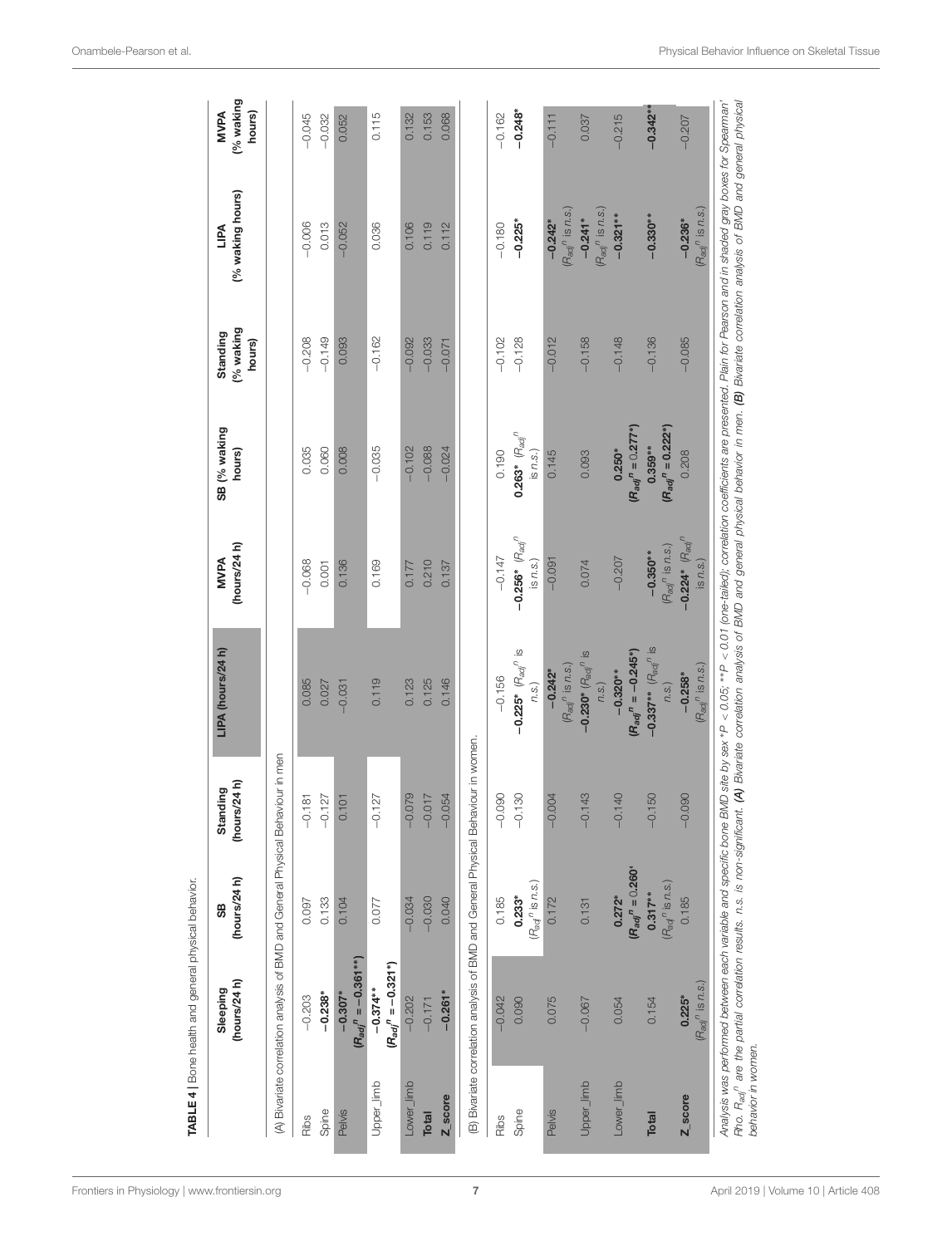<span id="page-6-0"></span>

|                      | (hours/24 h)<br>Sleeping                                                           | (hours/24h)<br>99                          | (hours/24 h)<br>Standing     | LIPA (hours/24 h)                                      | (hours/24 $h$ )<br><b>MVPA</b>                      | SB (% waking<br>hours)                               | (% waking<br>Standing<br>hours) | (% waking hours)<br><b>TIPA</b>                                                                  | (% waking<br><b>MVPA</b><br>hours) |
|----------------------|------------------------------------------------------------------------------------|--------------------------------------------|------------------------------|--------------------------------------------------------|-----------------------------------------------------|------------------------------------------------------|---------------------------------|--------------------------------------------------------------------------------------------------|------------------------------------|
|                      | (A) Bivariate correlation analysis of BMD and General Physical Behaviour in men    |                                            |                              |                                                        |                                                     |                                                      |                                 |                                                                                                  |                                    |
| Ribs                 | $-0.203$                                                                           | 0.097                                      | $\overline{\circ}$<br>$-0.1$ | 0.085                                                  | $-0.068$                                            | 0.035                                                | $-0.208$                        | $-0.006$                                                                                         | $-0.045$                           |
| Spine                | $-0.238$ *                                                                         | 0.133                                      | $-0.127$                     | 0.027                                                  | 0.001                                               | 0.060                                                | $-0.149$                        | 0.013                                                                                            | $-0.032$                           |
| Pelvis               | $(P_{adj}^{\prime\prime} = -0.361***)$<br>$-0.307*$                                | 0.104                                      | 0.101                        | $-0.031$                                               | 0.136                                               | 0.008                                                | 0.093                           | $-0.052$                                                                                         | 0.052                              |
| Upper_limb           | $(R_{adj}^n = -0.321*)$<br>$-0.374***$                                             | 0.077                                      | 27<br>$-0.1$                 | 0.119                                                  | 0.169                                               | $-0.035$                                             | $-0.162$                        | 0.036                                                                                            | 0.115                              |
| Lower_limb           | $-0.202$                                                                           | $-0.034$                                   | $-0.079$                     | 0.123                                                  | 0.177                                               | $-0.102$                                             | $-0.092$                        | 0.106                                                                                            | 0.132                              |
| <b>Total</b>         | $-0.171$                                                                           | $-0.030$                                   | $-0.017$                     | 0.125                                                  | 0.210                                               | $-0.088$                                             | $-0.033$                        | 0.119                                                                                            | 0.153                              |
| Z_score              | $-0.261*$                                                                          | 0.040                                      | $-0.054$                     | 0.146                                                  | 0.137                                               | $-0.024$                                             | $-0.071$                        | 0.112                                                                                            | 0.068                              |
|                      | (B) Bivariate correlation analysis of BMD and General Physical Behaviour in women. |                                            |                              |                                                        |                                                     |                                                      |                                 |                                                                                                  |                                    |
| Ribs                 | $-0.042$                                                                           | 0.185                                      | $-0.090$                     | $-0.156$                                               | $-0.147$                                            | 0.190                                                | $-0.102$                        | $-0.180$                                                                                         | $-0.162$                           |
| Spine                | 0.090                                                                              | $(R_{\text{adj}}^n$ is n.s.)<br>$0.233*$   | $-0.130$                     | $-0.225$ * $(R_{\text{adj}}$ <sup>n</sup> is<br>n.S.   | $-0.256*$ $(R_{\text{adj}}$ <sup>n</sup><br>is n.s. | $0.263^*$ $(\mathsf{a}_{\mathsf{adj}}^n)$<br>is n.s. | $-0.128$                        | $-0.225$ *                                                                                       | $-0.248$                           |
| <b>Pelvis</b>        | 0.075                                                                              | 0.172                                      | $-0.004$                     | $(\mathcal{F}_{\mathit{adj}}^n$ is n.s.)<br>$-0.242$ * | $-0.091$                                            | 0.145                                                | $-0.012$                        | $(R_{\text{adj}}^n$ is n.s.<br>$-0.242$ *                                                        | $-0.111$                           |
| Upper_limb           | $-0.067$                                                                           | 0.131                                      | $-0.143$                     | $-0.230$ * $(R_{adj}^n)$ is<br>n.S.                    | 0.074                                               | 0.093                                                | $-0.158$                        | $(R_{\text{adj}}^n$ is n.s.<br>$-0.241*$                                                         | 0.037                              |
| Lower_limb           | 0.054                                                                              | $(R_{adj}^n = 0.260^*$<br>0.272*           | $-0.140$                     | $(R_{adi}^n = -0.245^*)$<br>$-0.320**$                 | $-0.207$                                            | $(R_{adj}^n = 0.277^*$<br>$0.250*$                   | $-0.148$                        | $-0.321***$                                                                                      | $-0.215$                           |
| <b>Total</b>         | 0.154                                                                              | $(R_{\text{adj}}^n$ is n.s.)<br>$0.317***$ | 150<br>$-0.1$                | $-0.337**$ $(R_{adj}^n)$ is<br>n.S.                    | $(R_{\text{adj}}^n$ is n.s.)<br>$-0.350**$          | $(R_{adj}^n = 0.222^*)$<br>0.359**                   | $-0.136$                        | $-0.330**$                                                                                       | $-0.342$                           |
| $Z$ <sub>score</sub> | $(R_{\text{adj}}^n$ is n.s.)<br>$0.225*$                                           | 0.185                                      | $-0.090$                     | $(R_{\textit{adj}}^n$ is n.s.)<br>$-0.258*$            | $-0.224*$ $(R_{adj}$ <sup>n</sup><br>is n.s.        | 0.208                                                | $-0.085$                        | $(\mathsf{A}_{\mathsf{a}\mathsf{d}'}^{\phantom{\mathsf{a}\mathsf{d}}'}$ is $n$ .s.)<br>$-0.236*$ | $-0.207$                           |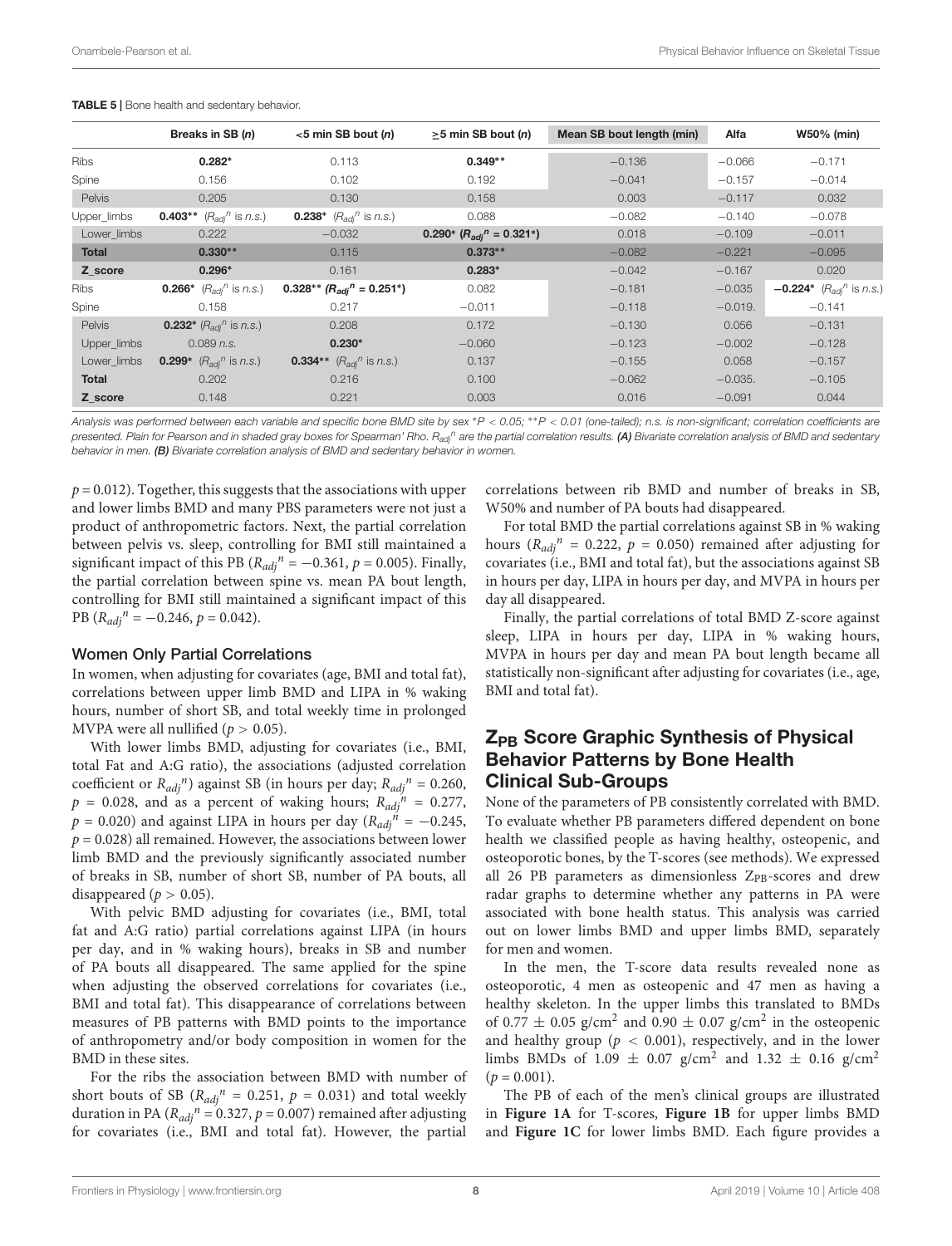|               | Breaks in SB (n)                                     | $<$ 5 min SB bout (n)                                | $\geq$ 5 min SB bout ( <i>n</i> )           | Mean SB bout length (min) | Alfa      | <b>W50% (min)</b>                           |
|---------------|------------------------------------------------------|------------------------------------------------------|---------------------------------------------|---------------------------|-----------|---------------------------------------------|
| <b>Ribs</b>   | $0.282*$                                             | 0.113                                                | $0.349**$                                   | $-0.136$                  | $-0.066$  | $-0.171$                                    |
| Spine         | 0.156                                                | 0.102                                                | 0.192                                       | $-0.041$                  | $-0.157$  | $-0.014$                                    |
| <b>Pelvis</b> | 0.205                                                | 0.130                                                | 0.158                                       | 0.003                     | $-0.117$  | 0.032                                       |
| Upper_limbs   | <b>0.403**</b> $(R_{\text{adj}}^n \text{ is } n.s.)$ | <b>0.238*</b> $(R_{adj}^n \text{ is } n.s.)$         | 0.088                                       | $-0.082$                  | $-0.140$  | $-0.078$                                    |
| Lower limbs   | 0.222                                                | $-0.032$                                             | 0.290* $(R_{adi}^{\prime\prime} = 0.321^*)$ | 0.018                     | $-0.109$  | $-0.011$                                    |
| <b>Total</b>  | $0.330**$                                            | 0.115                                                | $0.373**$                                   | $-0.082$                  | $-0.221$  | $-0.095$                                    |
| Z score       | $0.296*$                                             | 0.161                                                | $0.283*$                                    | $-0.042$                  | $-0.167$  | 0.020                                       |
| Ribs          | <b>0.266*</b> $(R_{adj}^n \text{ is } n.s.)$         | $0.328**$ ( $R_{adi}$ <sup>n</sup> = 0.251*)         | 0.082                                       | $-0.181$                  | $-0.035$  | $-0.224$ <sup>*</sup> $(R_{adj}^n$ is n.s.) |
| Spine         | 0.158                                                | 0.217                                                | $-0.011$                                    | $-0.118$                  | $-0.019.$ | $-0.141$                                    |
| Pelvis        | <b>0.232*</b> $(R_{\text{adj}}^n$ is n.s.)           | 0.208                                                | 0.172                                       | $-0.130$                  | 0.056     | $-0.131$                                    |
| Upper_limbs   | $0.089$ n.s.                                         | $0.230*$                                             | $-0.060$                                    | $-0.123$                  | $-0.002$  | $-0.128$                                    |
| Lower limbs   | <b>0.299*</b> $(R_{adj}^n \text{ is } n.s.)$         | <b>0.334**</b> $(R_{\text{adj}}^n \text{ is } n.s.)$ | 0.137                                       | $-0.155$                  | 0.058     | $-0.157$                                    |
| <b>Total</b>  | 0.202                                                | 0.216                                                | 0.100                                       | $-0.062$                  | $-0.035.$ | $-0.105$                                    |
| Z score       | 0.148                                                | 0.221                                                | 0.003                                       | 0.016                     | $-0.091$  | 0.044                                       |

<span id="page-7-0"></span>TABLE 5 | Bone health and sedentary behavior.

Analysis was performed between each variable and specific bone BMD site by sex \*P < 0.05; \*\*P < 0.01 (one-tailed); n.s. is non-significant; correlation coefficients are presented. Plain for Pearson and in shaded gray boxes for Spearman' Rho. Radin are the partial correlation results. (A) Bivariate correlation analysis of BMD and sedentary behavior in men. (B) Bivariate correlation analysis of BMD and sedentary behavior in women.

 $p = 0.012$ ). Together, this suggests that the associations with upper and lower limbs BMD and many PBS parameters were not just a product of anthropometric factors. Next, the partial correlation between pelvis vs. sleep, controlling for BMI still maintained a significant impact of this PB ( $R_{adj}^n = -0.361$ ,  $p = 0.005$ ). Finally, the partial correlation between spine vs. mean PA bout length, controlling for BMI still maintained a significant impact of this PB  $(R_{adj}^n = -0.246, p = 0.042)$ .

#### Women Only Partial Correlations

In women, when adjusting for covariates (age, BMI and total fat), correlations between upper limb BMD and LIPA in % waking hours, number of short SB, and total weekly time in prolonged MVPA were all nullified ( $p > 0.05$ ).

With lower limbs BMD, adjusting for covariates (i.e., BMI, total Fat and A:G ratio), the associations (adjusted correlation coefficient or  $R_{adj}^n$ ) against SB (in hours per day;  $R_{adj}^n = 0.260$ ,  $p = 0.028$ , and as a percent of waking hours;  $R_{adj}^{\dagger n} = 0.277$ ,  $p = 0.020$ ) and against LIPA in hours per day ( $R_{adj}^{\quad \dot{n}} = -0.245$ ,  $p = 0.028$ ) all remained. However, the associations between lower limb BMD and the previously significantly associated number of breaks in SB, number of short SB, number of PA bouts, all disappeared ( $p > 0.05$ ).

With pelvic BMD adjusting for covariates (i.e., BMI, total fat and A:G ratio) partial correlations against LIPA (in hours per day, and in % waking hours), breaks in SB and number of PA bouts all disappeared. The same applied for the spine when adjusting the observed correlations for covariates (i.e., BMI and total fat). This disappearance of correlations between measures of PB patterns with BMD points to the importance of anthropometry and/or body composition in women for the BMD in these sites.

For the ribs the association between BMD with number of short bouts of SB ( $R_{adj}^n = 0.251$ ,  $p = 0.031$ ) and total weekly duration in PA ( $R_{adj}^n = 0.327$ ,  $p = 0.007$ ) remained after adjusting for covariates (i.e., BMI and total fat). However, the partial

correlations between rib BMD and number of breaks in SB, W50% and number of PA bouts had disappeared.

For total BMD the partial correlations against SB in % waking hours ( $R_{adj}^n = 0.222$ ,  $p = 0.050$ ) remained after adjusting for covariates (i.e., BMI and total fat), but the associations against SB in hours per day, LIPA in hours per day, and MVPA in hours per day all disappeared.

Finally, the partial correlations of total BMD Z-score against sleep, LIPA in hours per day, LIPA in % waking hours, MVPA in hours per day and mean PA bout length became all statistically non-significant after adjusting for covariates (i.e., age, BMI and total fat).

### Z<sub>PB</sub> Score Graphic Synthesis of Physical Behavior Patterns by Bone Health Clinical Sub-Groups

None of the parameters of PB consistently correlated with BMD. To evaluate whether PB parameters differed dependent on bone health we classified people as having healthy, osteopenic, and osteoporotic bones, by the T-scores (see methods). We expressed all 26 PB parameters as dimensionless  $Z_{PR}$ -scores and drew radar graphs to determine whether any patterns in PA were associated with bone health status. This analysis was carried out on lower limbs BMD and upper limbs BMD, separately for men and women.

In the men, the T-score data results revealed none as osteoporotic, 4 men as osteopenic and 47 men as having a healthy skeleton. In the upper limbs this translated to BMDs of 0.77  $\pm$  0.05 g/cm<sup>2</sup> and 0.90  $\pm$  0.07 g/cm<sup>2</sup> in the osteopenic and healthy group ( $p < 0.001$ ), respectively, and in the lower limbs BMDs of 1.09  $\pm$  0.07 g/cm<sup>2</sup> and 1.32  $\pm$  0.16 g/cm<sup>2</sup>  $(p = 0.001)$ .

The PB of each of the men's clinical groups are illustrated in **[Figure 1A](#page-9-0)** for T-scores, **[Figure 1B](#page-9-0)** for upper limbs BMD and **[Figure 1C](#page-9-0)** for lower limbs BMD. Each figure provides a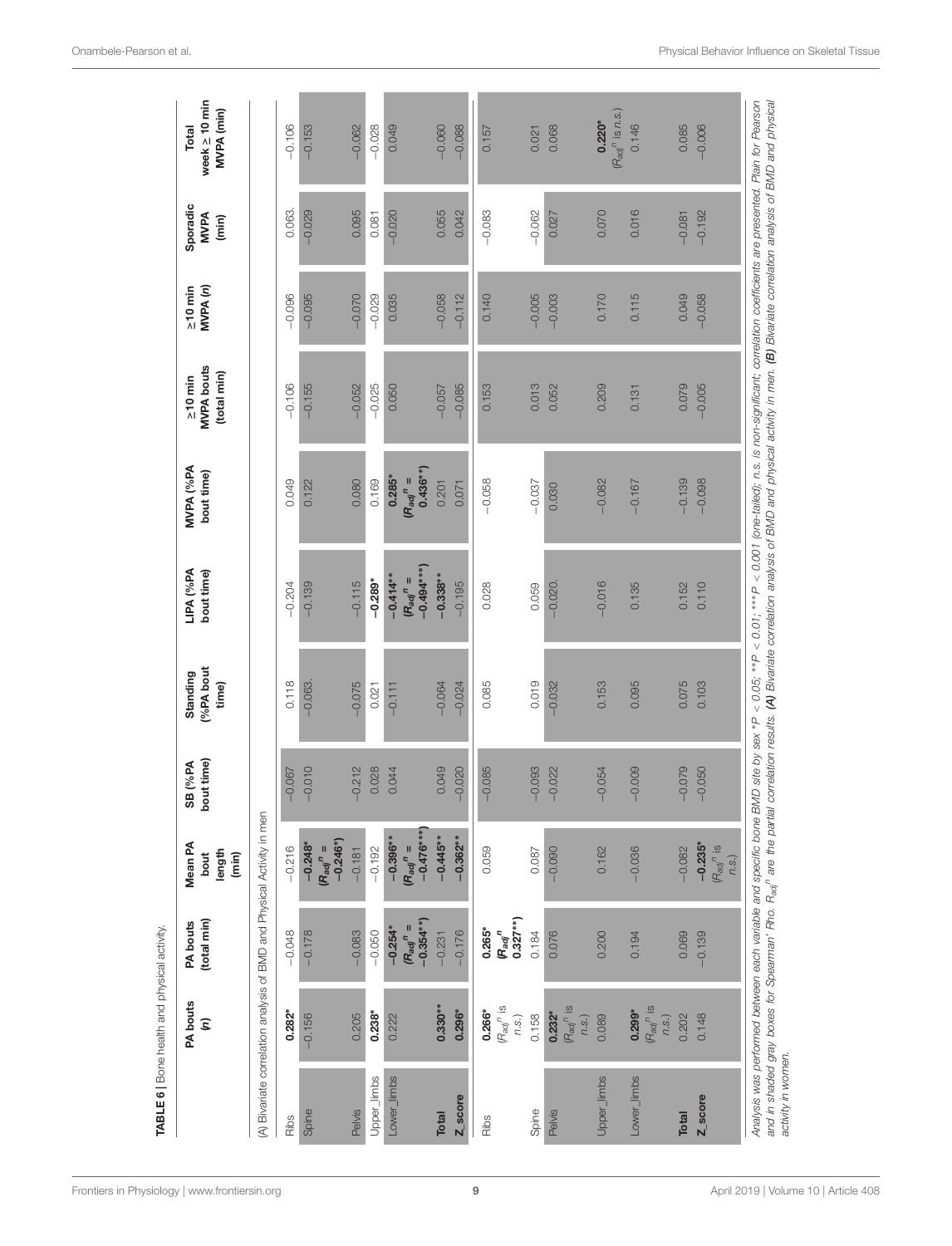|                    | <b>PA bouts</b><br>$\widehat{\epsilon}$                        | (total min)<br>PA bouts                            | Mean PA<br>length<br>bout<br>(min)                                     | bout time)<br>SB (%PA | (%PA bout<br>Standing<br>time) | LIPA (%PA<br>bout time)                     | MVPA (%PA<br>bout time)                                                                                                                                                                                                                                                                                                                                                                                                                                             | <b>MVPA</b> bouts<br>(total min)<br>$\succeq$ 10 min | MVPA <sub>(n)</sub><br>$\geq 10$ min | Sporadic<br><b>MVPA</b><br>(min) | week $\geq 10$ min<br>MVPA (min)<br>Total |
|--------------------|----------------------------------------------------------------|----------------------------------------------------|------------------------------------------------------------------------|-----------------------|--------------------------------|---------------------------------------------|---------------------------------------------------------------------------------------------------------------------------------------------------------------------------------------------------------------------------------------------------------------------------------------------------------------------------------------------------------------------------------------------------------------------------------------------------------------------|------------------------------------------------------|--------------------------------------|----------------------------------|-------------------------------------------|
|                    |                                                                |                                                    | (A) Bivariate correlation analysis of BMD and Physical Activity in men |                       |                                |                                             |                                                                                                                                                                                                                                                                                                                                                                                                                                                                     |                                                      |                                      |                                  |                                           |
| Ribs               | $0.282*$                                                       | $-0.048$                                           | $-0.216$                                                               | $-0.067$              | 0.118                          | $-0.204$                                    | 0.049                                                                                                                                                                                                                                                                                                                                                                                                                                                               | $-0.106$                                             | $-0.096$                             | 0.063.                           | $-0.106$                                  |
| Spine              | $-0.156$                                                       | $-0.178$                                           | $-0.246*$<br>$-0.248*$<br>$(R_{adj}^n =$                               | $-0.010$              | $-0.063$                       | $-0.139$                                    | 0.122                                                                                                                                                                                                                                                                                                                                                                                                                                                               | $-0.155$                                             | $-0.095$                             | $-0.029$                         | $-0.153$                                  |
| Pelvis             | 0.205                                                          | $-0.083$                                           | $-0.181$                                                               | $-0.212$              | $-0.075$                       | $-0.115$                                    | 0.080                                                                                                                                                                                                                                                                                                                                                                                                                                                               | $-0.052$                                             | $-0.070$                             | 0.095                            | $-0.062$                                  |
| Upper_limbs        | 0.238*                                                         | $-0.050$                                           | $-0.192$                                                               | 0.028                 | 0.021                          | $-0.289*$                                   | 0.169                                                                                                                                                                                                                                                                                                                                                                                                                                                               | $-0.025$                                             | $-0.029$                             | 0.081                            | $-0.028$                                  |
| Lower_limbs        | 0.222                                                          | $-0.354**$<br>$(R_{adj}^n =$<br>$-0.254*$          | $-0.476***$<br>$-0.396**$<br>$(R_{adj}^n =$                            | 0.044                 | $-0.111$                       | $-0.494***$<br>$-0.414**$<br>$(R_{adj}^n =$ | $0.436**$<br>0.285*<br>$(R_{adj}^n =$                                                                                                                                                                                                                                                                                                                                                                                                                               | 0.050                                                | 0.035                                | $-0.020$                         | 0.049                                     |
| <b>Total</b>       | $0.330**$                                                      | $-0.231$                                           | $-0.445*$                                                              | 0.049                 | $-0.064$                       | $-0.338**$                                  | 0.201                                                                                                                                                                                                                                                                                                                                                                                                                                                               | $-0.057$                                             | $-0.058$                             | 0.055                            | $-0.060$                                  |
| Z score            | $0.296*$                                                       | $-0.176$                                           | $-0.362**$                                                             | $-0.020$              | $-0.024$                       | $-0.195$                                    | 0.071                                                                                                                                                                                                                                                                                                                                                                                                                                                               | $-0.085$                                             | $-0.112$                             | 0.042                            | $-0.088$                                  |
| Ribs               | $(\mathsf{R}_{\mathsf{adj}}^{\qquad n}$ is<br>$0.266*$<br>n.S. | $0.327**$<br>$0.265*$<br>$\bm{\mathsf{R}}_{adj}^n$ | 0.059                                                                  | $-0.085$              | 0.085                          | 0.028                                       | $-0.058$                                                                                                                                                                                                                                                                                                                                                                                                                                                            | 0.153                                                | 0.140                                | $-0.083$                         | 0.157                                     |
| Spine              | 0.158                                                          | 0.184                                              | 0.087                                                                  | $-0.093$              | 0.019                          | 0.059                                       | $-0.037$                                                                                                                                                                                                                                                                                                                                                                                                                                                            | 0.013                                                | $-0.005$                             | $-0.062$                         | 0.021                                     |
| Pelvis             | $(R_{adj}{}^n$ is<br>0.232*<br>n.S.                            | 0.076                                              | $-0.090$                                                               | $-0.022$              | $-0.032$                       | $-0.020$                                    | 0.030                                                                                                                                                                                                                                                                                                                                                                                                                                                               | 0.052                                                | $-0.003$                             | 0.027                            | 0.068                                     |
| Upper_limbs        | 0.089                                                          | 0.200                                              | 0.162                                                                  | $-0.054$              | 0.153                          | $-0.016$                                    | $-0.082$                                                                                                                                                                                                                                                                                                                                                                                                                                                            | 0.209                                                | 0.170                                | 0.070                            | $(R_{\text{adj}}^n$ is n.s.<br>$0.220*$   |
| Lower_limbs        | $(H_{adj}^n)$ is<br>$0.299*$<br>n.S.                           | 0.194                                              | $-0.036$                                                               | $-0.009$              | 0.095                          | 0.135                                       | $-0.167$                                                                                                                                                                                                                                                                                                                                                                                                                                                            | 0.131                                                | 0.115                                | 0.016                            | 0.146                                     |
| <b>Total</b>       | 0.202                                                          | 0.069                                              | $-0.082$                                                               | $-0.079$              | 0.075                          | 0.152                                       | $-0.139$                                                                                                                                                                                                                                                                                                                                                                                                                                                            | 0.079                                                | 0.049                                | $-0.081$                         | 0.085                                     |
| Z_score            | 0.148                                                          | $-0.139$                                           | $-0.235$ <sup>*</sup><br>$(H_{adj}$ <sup>n</sup> is<br>n.s.)           | $-0.050$              | 0.103                          | 0.110                                       | $-0.098$                                                                                                                                                                                                                                                                                                                                                                                                                                                            | $-0.005$                                             | $-0.058$                             | $-0.192$                         | $-0.006$                                  |
| activity in women. |                                                                |                                                    |                                                                        |                       |                                |                                             | Analysis was performed between each variable and specific bone BMD site by sex *P < 0.05; **P < 0.01; ***P < 0.011 (one-tailed), n.s. is non-significant; correlation coefficients are presented. Plain for Pearson<br>and in shaded gray boxes for Spearman' Rho. R <sub>ad</sub> <sup>n</sup> are the partial correlation results, (A) Bivariate correlation analysis of BMD and physical activity in men. (B) Bivariate correlation analysis of BMD and physical |                                                      |                                      |                                  |                                           |

<span id="page-8-0"></span>TABLE 6 | Bone health and physical activity.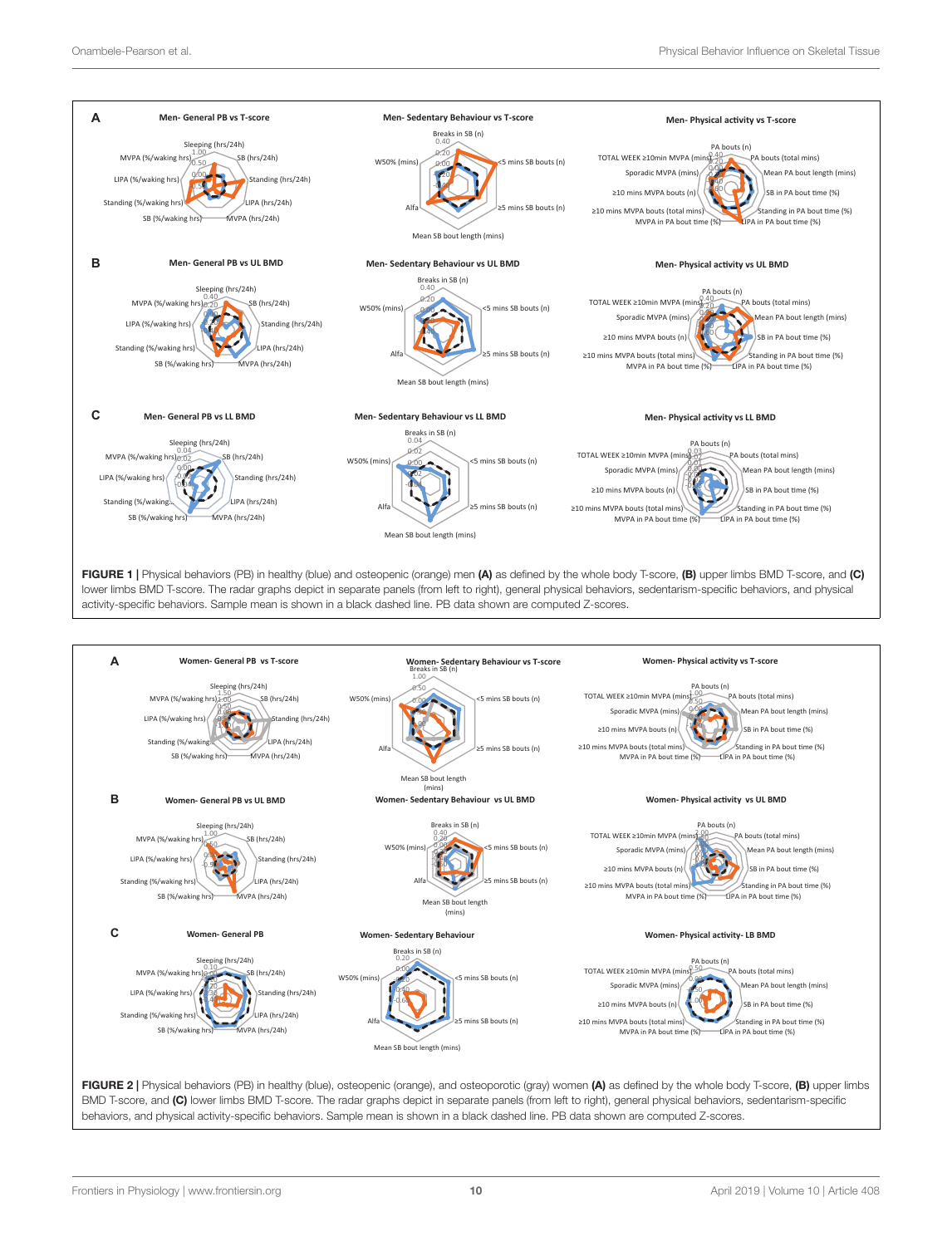

<span id="page-9-0"></span>

<span id="page-9-1"></span>FIGURE 2 | Physical behaviors (PB) in healthy (blue), osteopenic (orange), and osteoporotic (gray) women (A) as defined by the whole body T-score, (B) upper limbs BMD T-score, and (C) lower limbs BMD T-score. The radar graphs depict in separate panels (from left to right), general physical behaviors, sedentarism-specific behaviors, and physical activity-specific behaviors. Sample mean is shown in a black dashed line. PB data shown are computed Z-scores.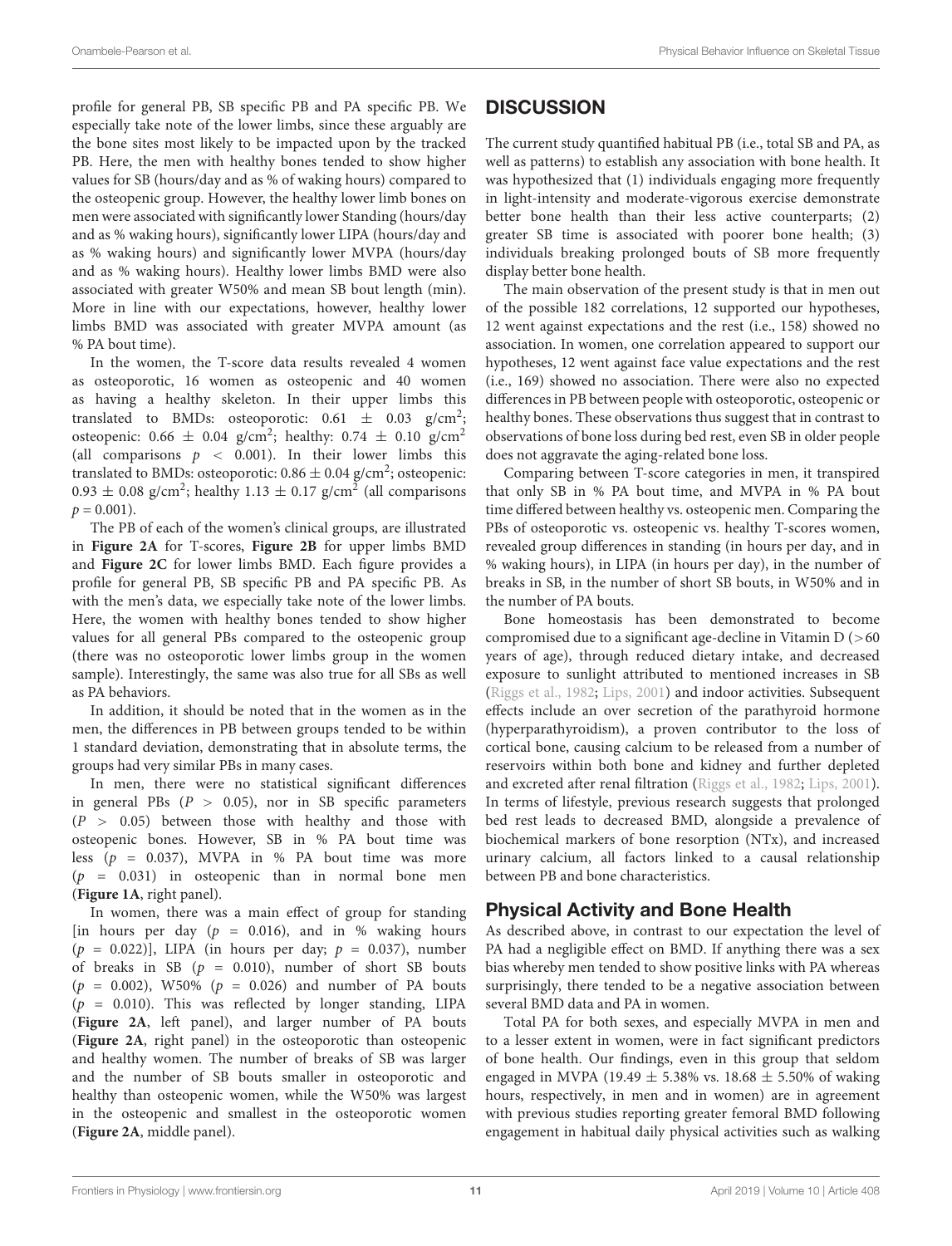profile for general PB, SB specific PB and PA specific PB. We especially take note of the lower limbs, since these arguably are the bone sites most likely to be impacted upon by the tracked PB. Here, the men with healthy bones tended to show higher values for SB (hours/day and as % of waking hours) compared to the osteopenic group. However, the healthy lower limb bones on men were associated with significantly lower Standing (hours/day and as % waking hours), significantly lower LIPA (hours/day and as % waking hours) and significantly lower MVPA (hours/day and as % waking hours). Healthy lower limbs BMD were also associated with greater W50% and mean SB bout length (min). More in line with our expectations, however, healthy lower limbs BMD was associated with greater MVPA amount (as % PA bout time).

In the women, the T-score data results revealed 4 women as osteoporotic, 16 women as osteopenic and 40 women as having a healthy skeleton. In their upper limbs this translated to BMDs: osteoporotic:  $0.61 \pm 0.03$  g/cm<sup>2</sup>; osteopenic:  $0.66 \pm 0.04$  g/cm<sup>2</sup>; healthy:  $0.74 \pm 0.10$  g/cm<sup>2</sup> (all comparisons  $p \, < \, 0.001$ ). In their lower limbs this translated to BMDs: osteoporotic:  $0.86\pm0.04$  g/cm<sup>2</sup>; osteopenic:  $0.93 \pm 0.08$  g/cm<sup>2</sup>; healthy 1.13  $\pm$  0.17 g/cm<sup>2</sup> (all comparisons  $p = 0.001$ ).

The PB of each of the women's clinical groups, are illustrated in **[Figure 2A](#page-9-1)** for T-scores, **[Figure 2B](#page-9-1)** for upper limbs BMD and **[Figure 2C](#page-9-1)** for lower limbs BMD. Each figure provides a profile for general PB, SB specific PB and PA specific PB. As with the men's data, we especially take note of the lower limbs. Here, the women with healthy bones tended to show higher values for all general PBs compared to the osteopenic group (there was no osteoporotic lower limbs group in the women sample). Interestingly, the same was also true for all SBs as well as PA behaviors.

In addition, it should be noted that in the women as in the men, the differences in PB between groups tended to be within 1 standard deviation, demonstrating that in absolute terms, the groups had very similar PBs in many cases.

In men, there were no statistical significant differences in general PBs  $(P > 0.05)$ , nor in SB specific parameters  $(P > 0.05)$  between those with healthy and those with osteopenic bones. However, SB in % PA bout time was less ( $p = 0.037$ ), MVPA in % PA bout time was more  $(p = 0.031)$  in osteopenic than in normal bone men (**[Figure 1A](#page-9-0)**, right panel).

In women, there was a main effect of group for standing [in hours per day  $(p = 0.016)$ , and in % waking hours  $(p = 0.022)$ ], LIPA (in hours per day;  $p = 0.037$ ), number of breaks in SB  $(p = 0.010)$ , number of short SB bouts  $(p = 0.002)$ , W50%  $(p = 0.026)$  and number of PA bouts  $(p = 0.010)$ . This was reflected by longer standing, LIPA (**[Figure 2A](#page-9-1)**, left panel), and larger number of PA bouts (**[Figure 2A](#page-9-1)**, right panel) in the osteoporotic than osteopenic and healthy women. The number of breaks of SB was larger and the number of SB bouts smaller in osteoporotic and healthy than osteopenic women, while the W50% was largest in the osteopenic and smallest in the osteoporotic women (**[Figure 2A](#page-9-1)**, middle panel).

# **DISCUSSION**

The current study quantified habitual PB (i.e., total SB and PA, as well as patterns) to establish any association with bone health. It was hypothesized that (1) individuals engaging more frequently in light-intensity and moderate-vigorous exercise demonstrate better bone health than their less active counterparts; (2) greater SB time is associated with poorer bone health; (3) individuals breaking prolonged bouts of SB more frequently display better bone health.

The main observation of the present study is that in men out of the possible 182 correlations, 12 supported our hypotheses, 12 went against expectations and the rest (i.e., 158) showed no association. In women, one correlation appeared to support our hypotheses, 12 went against face value expectations and the rest (i.e., 169) showed no association. There were also no expected differences in PB between people with osteoporotic, osteopenic or healthy bones. These observations thus suggest that in contrast to observations of bone loss during bed rest, even SB in older people does not aggravate the aging-related bone loss.

Comparing between T-score categories in men, it transpired that only SB in % PA bout time, and MVPA in % PA bout time differed between healthy vs. osteopenic men. Comparing the PBs of osteoporotic vs. osteopenic vs. healthy T-scores women, revealed group differences in standing (in hours per day, and in % waking hours), in LIPA (in hours per day), in the number of breaks in SB, in the number of short SB bouts, in W50% and in the number of PA bouts.

Bone homeostasis has been demonstrated to become compromised due to a significant age-decline in Vitamin D (>60 years of age), through reduced dietary intake, and decreased exposure to sunlight attributed to mentioned increases in SB [\(Riggs et al.,](#page-13-21) [1982;](#page-13-21) [Lips,](#page-13-24) [2001\)](#page-13-24) and indoor activities. Subsequent effects include an over secretion of the parathyroid hormone (hyperparathyroidism), a proven contributor to the loss of cortical bone, causing calcium to be released from a number of reservoirs within both bone and kidney and further depleted and excreted after renal filtration [\(Riggs et al.,](#page-13-21) [1982;](#page-13-21) [Lips,](#page-13-24) [2001\)](#page-13-24). In terms of lifestyle, previous research suggests that prolonged bed rest leads to decreased BMD, alongside a prevalence of biochemical markers of bone resorption (NTx), and increased urinary calcium, all factors linked to a causal relationship between PB and bone characteristics.

# Physical Activity and Bone Health

As described above, in contrast to our expectation the level of PA had a negligible effect on BMD. If anything there was a sex bias whereby men tended to show positive links with PA whereas surprisingly, there tended to be a negative association between several BMD data and PA in women.

Total PA for both sexes, and especially MVPA in men and to a lesser extent in women, were in fact significant predictors of bone health. Our findings, even in this group that seldom engaged in MVPA (19.49  $\pm$  5.38% vs. 18.68  $\pm$  5.50% of waking hours, respectively, in men and in women) are in agreement with previous studies reporting greater femoral BMD following engagement in habitual daily physical activities such as walking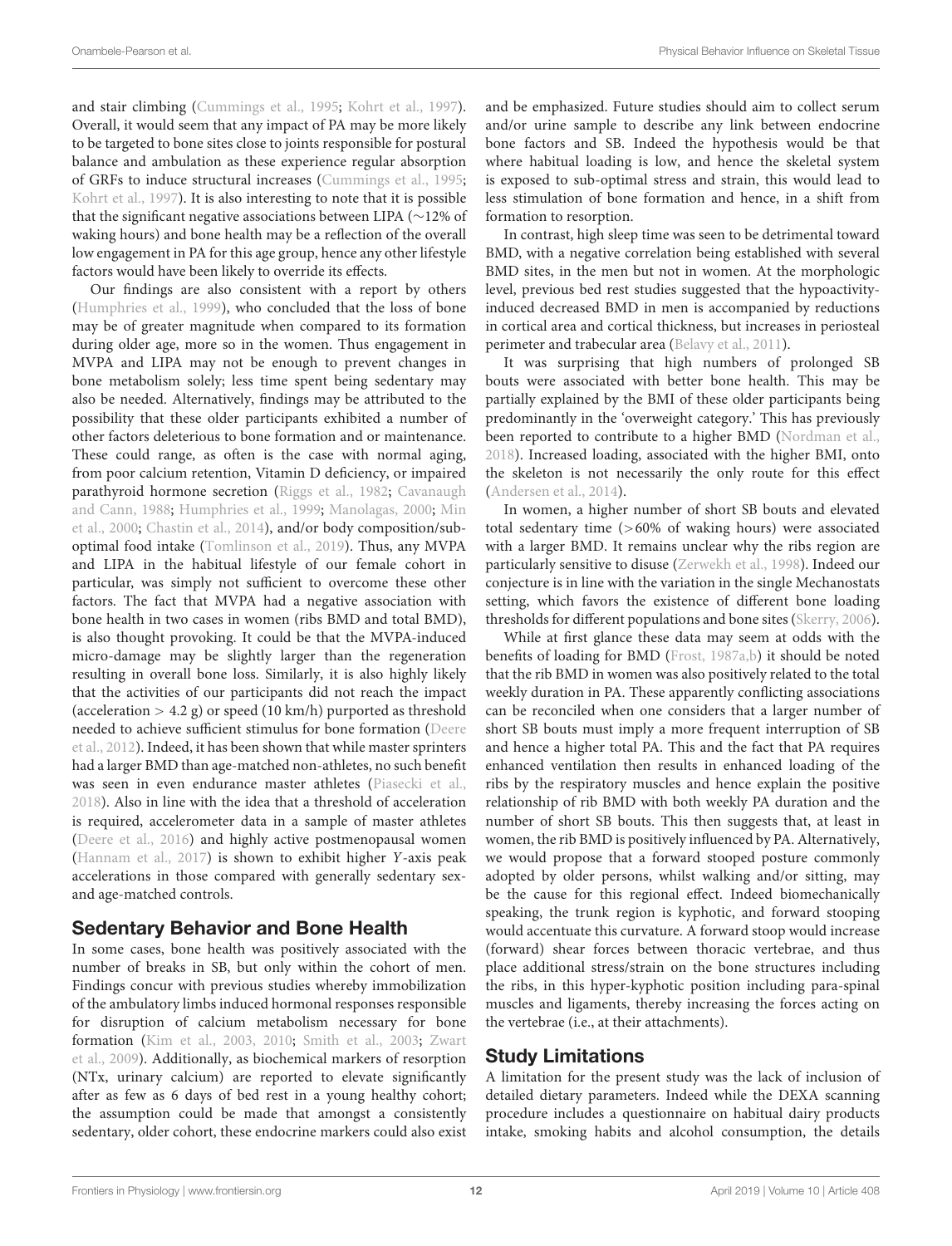and stair climbing [\(Cummings et al.,](#page-12-2) [1995;](#page-12-2) [Kohrt et al.,](#page-13-7) [1997\)](#page-13-7). Overall, it would seem that any impact of PA may be more likely to be targeted to bone sites close to joints responsible for postural balance and ambulation as these experience regular absorption of GRFs to induce structural increases [\(Cummings et al.,](#page-12-2) [1995;](#page-12-2) [Kohrt et al.,](#page-13-7) [1997\)](#page-13-7). It is also interesting to note that it is possible that the significant negative associations between LIPA (∼12% of waking hours) and bone health may be a reflection of the overall low engagement in PA for this age group, hence any other lifestyle factors would have been likely to override its effects.

Our findings are also consistent with a report by others [\(Humphries et al.,](#page-13-25) [1999\)](#page-13-25), who concluded that the loss of bone may be of greater magnitude when compared to its formation during older age, more so in the women. Thus engagement in MVPA and LIPA may not be enough to prevent changes in bone metabolism solely; less time spent being sedentary may also be needed. Alternatively, findings may be attributed to the possibility that these older participants exhibited a number of other factors deleterious to bone formation and or maintenance. These could range, as often is the case with normal aging, from poor calcium retention, Vitamin D deficiency, or impaired parathyroid hormone secretion [\(Riggs et al.,](#page-13-21) [1982;](#page-13-21) [Cavanaugh](#page-12-3) [and Cann,](#page-12-3) [1988;](#page-12-3) [Humphries et al.,](#page-13-25) [1999;](#page-13-25) [Manolagas,](#page-13-26) [2000;](#page-13-26) [Min](#page-13-27) [et al.,](#page-13-27) [2000;](#page-13-27) [Chastin et al.,](#page-12-4) [2014\)](#page-12-4), and/or body composition/suboptimal food intake [\(Tomlinson et al.,](#page-14-6) [2019\)](#page-14-6). Thus, any MVPA and LIPA in the habitual lifestyle of our female cohort in particular, was simply not sufficient to overcome these other factors. The fact that MVPA had a negative association with bone health in two cases in women (ribs BMD and total BMD), is also thought provoking. It could be that the MVPA-induced micro-damage may be slightly larger than the regeneration resulting in overall bone loss. Similarly, it is also highly likely that the activities of our participants did not reach the impact (acceleration  $> 4.2$  g) or speed (10 km/h) purported as threshold needed to achieve sufficient stimulus for bone formation [\(Deere](#page-13-28) [et al.,](#page-13-28) [2012\)](#page-13-28). Indeed, it has been shown that while master sprinters had a larger BMD than age-matched non-athletes, no such benefit was seen in even endurance master athletes [\(Piasecki et al.,](#page-13-29) [2018\)](#page-13-29). Also in line with the idea that a threshold of acceleration is required, accelerometer data in a sample of master athletes [\(Deere et al.,](#page-13-30) [2016\)](#page-13-30) and highly active postmenopausal women [\(Hannam et al.,](#page-13-31) [2017\)](#page-13-31) is shown to exhibit higher Y-axis peak accelerations in those compared with generally sedentary sexand age-matched controls.

### Sedentary Behavior and Bone Health

In some cases, bone health was positively associated with the number of breaks in SB, but only within the cohort of men. Findings concur with previous studies whereby immobilization of the ambulatory limbs induced hormonal responses responsible for disruption of calcium metabolism necessary for bone formation [\(Kim et al.,](#page-13-11) [2003,](#page-13-11) [2010;](#page-13-32) [Smith et al.,](#page-13-33) [2003;](#page-13-33) [Zwart](#page-14-7) [et al.,](#page-14-7) [2009\)](#page-14-7). Additionally, as biochemical markers of resorption (NTx, urinary calcium) are reported to elevate significantly after as few as 6 days of bed rest in a young healthy cohort; the assumption could be made that amongst a consistently sedentary, older cohort, these endocrine markers could also exist

and be emphasized. Future studies should aim to collect serum and/or urine sample to describe any link between endocrine bone factors and SB. Indeed the hypothesis would be that where habitual loading is low, and hence the skeletal system is exposed to sub-optimal stress and strain, this would lead to less stimulation of bone formation and hence, in a shift from formation to resorption.

In contrast, high sleep time was seen to be detrimental toward BMD, with a negative correlation being established with several BMD sites, in the men but not in women. At the morphologic level, previous bed rest studies suggested that the hypoactivityinduced decreased BMD in men is accompanied by reductions in cortical area and cortical thickness, but increases in periosteal perimeter and trabecular area [\(Belavy et al.,](#page-12-5) [2011\)](#page-12-5).

It was surprising that high numbers of prolonged SB bouts were associated with better bone health. This may be partially explained by the BMI of these older participants being predominantly in the 'overweight category.' This has previously been reported to contribute to a higher BMD [\(Nordman et al.,](#page-13-34) [2018\)](#page-13-34). Increased loading, associated with the higher BMI, onto the skeleton is not necessarily the only route for this effect [\(Andersen et al.,](#page-12-6) [2014\)](#page-12-6).

In women, a higher number of short SB bouts and elevated total sedentary time (>60% of waking hours) were associated with a larger BMD. It remains unclear why the ribs region are particularly sensitive to disuse [\(Zerwekh et al.,](#page-14-2) [1998\)](#page-14-2). Indeed our conjecture is in line with the variation in the single Mechanostats setting, which favors the existence of different bone loading thresholds for different populations and bone sites [\(Skerry,](#page-13-35) [2006\)](#page-13-35).

While at first glance these data may seem at odds with the benefits of loading for BMD [\(Frost,](#page-13-5) [1987a,](#page-13-5)[b\)](#page-13-6) it should be noted that the rib BMD in women was also positively related to the total weekly duration in PA. These apparently conflicting associations can be reconciled when one considers that a larger number of short SB bouts must imply a more frequent interruption of SB and hence a higher total PA. This and the fact that PA requires enhanced ventilation then results in enhanced loading of the ribs by the respiratory muscles and hence explain the positive relationship of rib BMD with both weekly PA duration and the number of short SB bouts. This then suggests that, at least in women, the rib BMD is positively influenced by PA. Alternatively, we would propose that a forward stooped posture commonly adopted by older persons, whilst walking and/or sitting, may be the cause for this regional effect. Indeed biomechanically speaking, the trunk region is kyphotic, and forward stooping would accentuate this curvature. A forward stoop would increase (forward) shear forces between thoracic vertebrae, and thus place additional stress/strain on the bone structures including the ribs, in this hyper-kyphotic position including para-spinal muscles and ligaments, thereby increasing the forces acting on the vertebrae (i.e., at their attachments).

### Study Limitations

A limitation for the present study was the lack of inclusion of detailed dietary parameters. Indeed while the DEXA scanning procedure includes a questionnaire on habitual dairy products intake, smoking habits and alcohol consumption, the details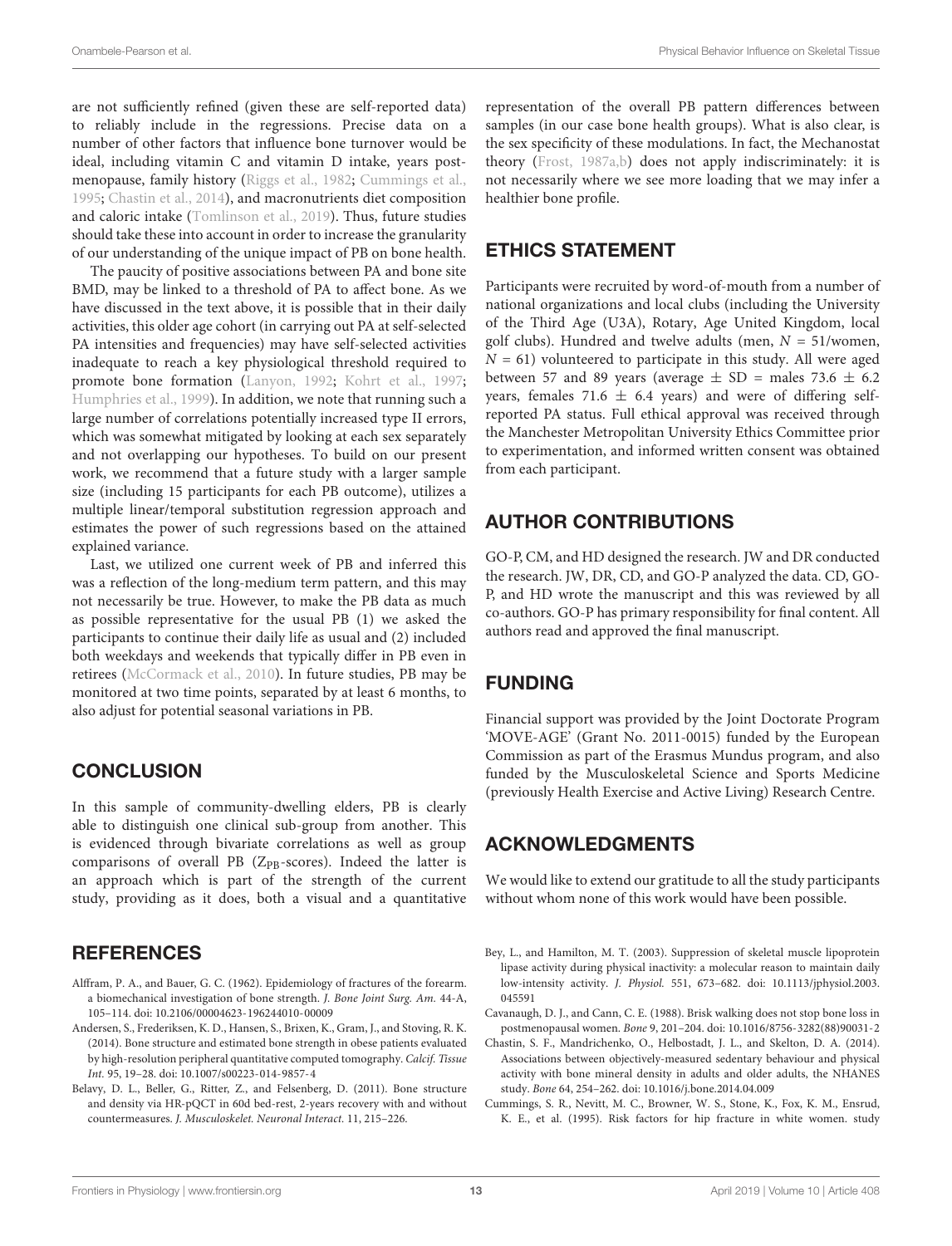are not sufficiently refined (given these are self-reported data) to reliably include in the regressions. Precise data on a number of other factors that influence bone turnover would be ideal, including vitamin C and vitamin D intake, years postmenopause, family history [\(Riggs et al.,](#page-13-21) [1982;](#page-13-21) [Cummings et al.,](#page-12-2) [1995;](#page-12-2) [Chastin et al.,](#page-12-4) [2014\)](#page-12-4), and macronutrients diet composition and caloric intake [\(Tomlinson et al.,](#page-14-6) [2019\)](#page-14-6). Thus, future studies should take these into account in order to increase the granularity of our understanding of the unique impact of PB on bone health.

The paucity of positive associations between PA and bone site BMD, may be linked to a threshold of PA to affect bone. As we have discussed in the text above, it is possible that in their daily activities, this older age cohort (in carrying out PA at self-selected PA intensities and frequencies) may have self-selected activities inadequate to reach a key physiological threshold required to promote bone formation [\(Lanyon,](#page-13-36) [1992;](#page-13-36) [Kohrt et al.,](#page-13-7) [1997;](#page-13-7) [Humphries et al.,](#page-13-25) [1999\)](#page-13-25). In addition, we note that running such a large number of correlations potentially increased type II errors, which was somewhat mitigated by looking at each sex separately and not overlapping our hypotheses. To build on our present work, we recommend that a future study with a larger sample size (including 15 participants for each PB outcome), utilizes a multiple linear/temporal substitution regression approach and estimates the power of such regressions based on the attained explained variance.

Last, we utilized one current week of PB and inferred this was a reflection of the long-medium term pattern, and this may not necessarily be true. However, to make the PB data as much as possible representative for the usual PB (1) we asked the participants to continue their daily life as usual and (2) included both weekdays and weekends that typically differ in PB even in retirees [\(McCormack et al.,](#page-13-37) [2010\)](#page-13-37). In future studies, PB may be monitored at two time points, separated by at least 6 months, to also adjust for potential seasonal variations in PB.

### **CONCLUSION**

In this sample of community-dwelling elders, PB is clearly able to distinguish one clinical sub-group from another. This is evidenced through bivariate correlations as well as group comparisons of overall PB ( $Z_{PB}$ -scores). Indeed the latter is an approach which is part of the strength of the current study, providing as it does, both a visual and a quantitative

# **REFERENCES**

- <span id="page-12-1"></span>Alffram, P. A., and Bauer, G. C. (1962). Epidemiology of fractures of the forearm. a biomechanical investigation of bone strength. J. Bone Joint Surg. Am. 44-A, 105–114. [doi: 10.2106/00004623-196244010-00009](https://doi.org/10.2106/00004623-196244010-00009)
- <span id="page-12-6"></span>Andersen, S., Frederiksen, K. D., Hansen, S., Brixen, K., Gram, J., and Stoving, R. K. (2014). Bone structure and estimated bone strength in obese patients evaluated by high-resolution peripheral quantitative computed tomography. Calcif. Tissue Int. 95, 19–28. [doi: 10.1007/s00223-014-9857-4](https://doi.org/10.1007/s00223-014-9857-4)
- <span id="page-12-5"></span>Belavy, D. L., Beller, G., Ritter, Z., and Felsenberg, D. (2011). Bone structure and density via HR-pQCT in 60d bed-rest, 2-years recovery with and without countermeasures. J. Musculoskelet. Neuronal Interact. 11, 215–226.

representation of the overall PB pattern differences between samples (in our case bone health groups). What is also clear, is the sex specificity of these modulations. In fact, the Mechanostat theory [\(Frost,](#page-13-5) [1987a](#page-13-5)[,b\)](#page-13-6) does not apply indiscriminately: it is not necessarily where we see more loading that we may infer a healthier bone profile.

# ETHICS STATEMENT

Participants were recruited by word-of-mouth from a number of national organizations and local clubs (including the University of the Third Age (U3A), Rotary, Age United Kingdom, local golf clubs). Hundred and twelve adults (men,  $N = 51$ /women,  $N = 61$ ) volunteered to participate in this study. All were aged between 57 and 89 years (average  $\pm$  SD = males 73.6  $\pm$  6.2 years, females 71.6  $\pm$  6.4 years) and were of differing selfreported PA status. Full ethical approval was received through the Manchester Metropolitan University Ethics Committee prior to experimentation, and informed written consent was obtained from each participant.

# AUTHOR CONTRIBUTIONS

GO-P, CM, and HD designed the research. JW and DR conducted the research. JW, DR, CD, and GO-P analyzed the data. CD, GO-P, and HD wrote the manuscript and this was reviewed by all co-authors. GO-P has primary responsibility for final content. All authors read and approved the final manuscript.

# FUNDING

Financial support was provided by the Joint Doctorate Program 'MOVE-AGE' (Grant No. 2011-0015) funded by the European Commission as part of the Erasmus Mundus program, and also funded by the Musculoskeletal Science and Sports Medicine (previously Health Exercise and Active Living) Research Centre.

# ACKNOWLEDGMENTS

We would like to extend our gratitude to all the study participants without whom none of this work would have been possible.

<span id="page-12-0"></span>Bey, L., and Hamilton, M. T. (2003). Suppression of skeletal muscle lipoprotein lipase activity during physical inactivity: a molecular reason to maintain daily low-intensity activity. J. Physiol. 551, 673–682. [doi: 10.1113/jphysiol.2003.](https://doi.org/10.1113/jphysiol.2003.045591) [045591](https://doi.org/10.1113/jphysiol.2003.045591)

<span id="page-12-3"></span>Cavanaugh, D. J., and Cann, C. E. (1988). Brisk walking does not stop bone loss in postmenopausal women. Bone 9, 201–204. [doi: 10.1016/8756-3282\(88\)90031-2](https://doi.org/10.1016/8756-3282(88)90031-2)

- <span id="page-12-4"></span>Chastin, S. F., Mandrichenko, O., Helbostadt, J. L., and Skelton, D. A. (2014). Associations between objectively-measured sedentary behaviour and physical activity with bone mineral density in adults and older adults, the NHANES study. Bone 64, 254–262. [doi: 10.1016/j.bone.2014.04.009](https://doi.org/10.1016/j.bone.2014.04.009)
- <span id="page-12-2"></span>Cummings, S. R., Nevitt, M. C., Browner, W. S., Stone, K., Fox, K. M., Ensrud, K. E., et al. (1995). Risk factors for hip fracture in white women. study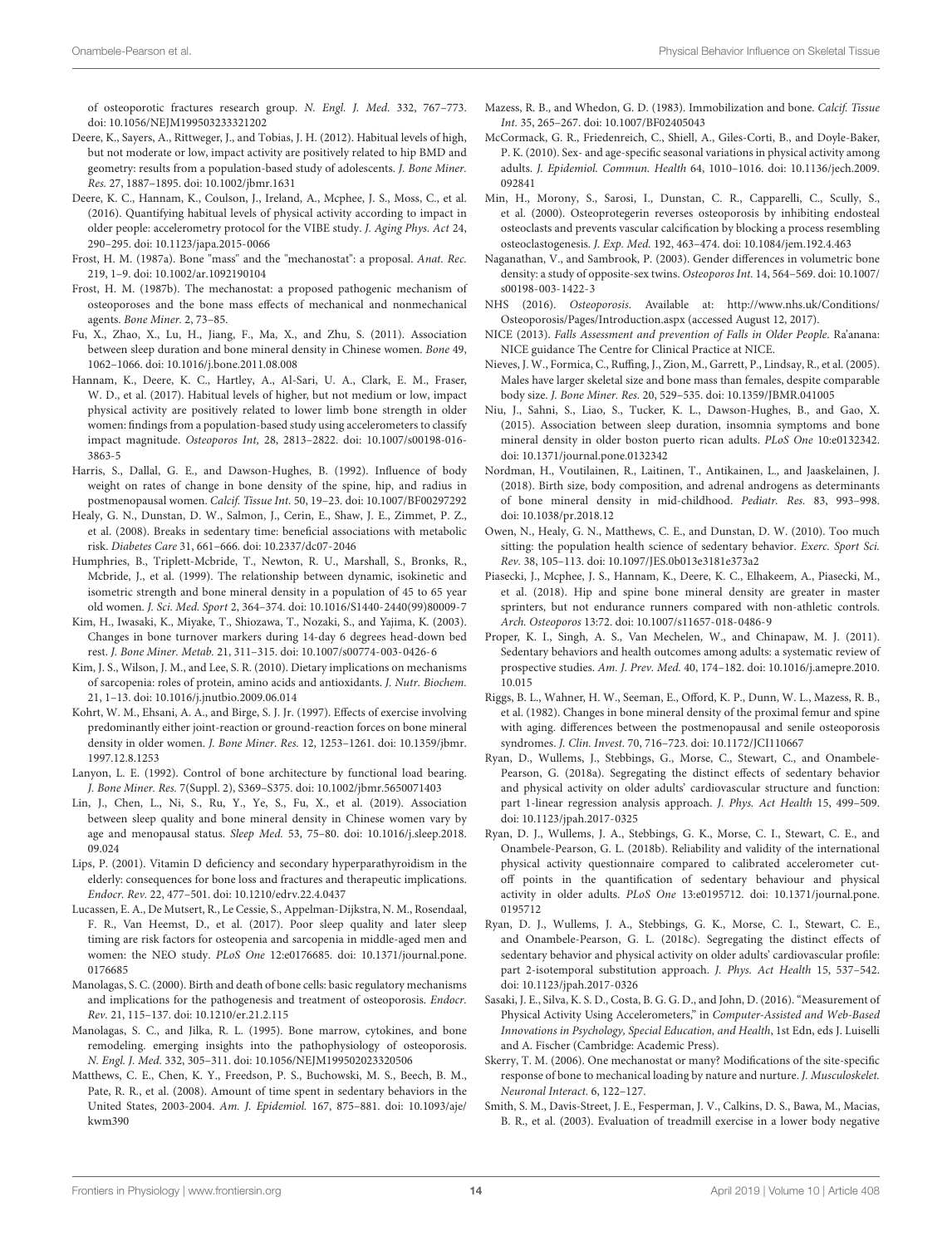of osteoporotic fractures research group. N. Engl. J. Med. 332, 767–773. [doi: 10.1056/NEJM199503233321202](https://doi.org/10.1056/NEJM199503233321202)

- <span id="page-13-28"></span>Deere, K., Sayers, A., Rittweger, J., and Tobias, J. H. (2012). Habitual levels of high, but not moderate or low, impact activity are positively related to hip BMD and geometry: results from a population-based study of adolescents. J. Bone Miner. Res. 27, 1887–1895. [doi: 10.1002/jbmr.1631](https://doi.org/10.1002/jbmr.1631)
- <span id="page-13-30"></span>Deere, K. C., Hannam, K., Coulson, J., Ireland, A., Mcphee, J. S., Moss, C., et al. (2016). Quantifying habitual levels of physical activity according to impact in older people: accelerometry protocol for the VIBE study. J. Aging Phys. Act 24, 290–295. [doi: 10.1123/japa.2015-0066](https://doi.org/10.1123/japa.2015-0066)
- <span id="page-13-5"></span>Frost, H. M. (1987a). Bone "mass" and the "mechanostat": a proposal. Anat. Rec. 219, 1–9. [doi: 10.1002/ar.1092190104](https://doi.org/10.1002/ar.1092190104)
- <span id="page-13-6"></span>Frost, H. M. (1987b). The mechanostat: a proposed pathogenic mechanism of osteoporoses and the bone mass effects of mechanical and nonmechanical agents. Bone Miner. 2, 73–85.
- <span id="page-13-14"></span>Fu, X., Zhao, X., Lu, H., Jiang, F., Ma, X., and Zhu, S. (2011). Association between sleep duration and bone mineral density in Chinese women. Bone 49, 1062–1066. [doi: 10.1016/j.bone.2011.08.008](https://doi.org/10.1016/j.bone.2011.08.008)
- <span id="page-13-31"></span>Hannam, K., Deere, K. C., Hartley, A., Al-Sari, U. A., Clark, E. M., Fraser, W. D., et al. (2017). Habitual levels of higher, but not medium or low, impact physical activity are positively related to lower limb bone strength in older women: findings from a population-based study using accelerometers to classify impact magnitude. Osteoporos Int, 28, 2813–2822. [doi: 10.1007/s00198-016-](https://doi.org/10.1007/s00198-016-3863-5) [3863-5](https://doi.org/10.1007/s00198-016-3863-5)
- <span id="page-13-23"></span>Harris, S., Dallal, G. E., and Dawson-Hughes, B. (1992). Influence of body weight on rates of change in bone density of the spine, hip, and radius in postmenopausal women. Calcif. Tissue Int. 50, 19–23. [doi: 10.1007/BF00297292](https://doi.org/10.1007/BF00297292)
- <span id="page-13-8"></span>Healy, G. N., Dunstan, D. W., Salmon, J., Cerin, E., Shaw, J. E., Zimmet, P. Z., et al. (2008). Breaks in sedentary time: beneficial associations with metabolic risk. Diabetes Care 31, 661–666. [doi: 10.2337/dc07-2046](https://doi.org/10.2337/dc07-2046)
- <span id="page-13-25"></span>Humphries, B., Triplett-Mcbride, T., Newton, R. U., Marshall, S., Bronks, R., Mcbride, J., et al. (1999). The relationship between dynamic, isokinetic and isometric strength and bone mineral density in a population of 45 to 65 year old women. J. Sci. Med. Sport 2, 364–374. [doi: 10.1016/S1440-2440\(99\)80009-7](https://doi.org/10.1016/S1440-2440(99)80009-7)
- <span id="page-13-11"></span>Kim, H., Iwasaki, K., Miyake, T., Shiozawa, T., Nozaki, S., and Yajima, K. (2003). Changes in bone turnover markers during 14-day 6 degrees head-down bed rest. J. Bone Miner. Metab. 21, 311–315. [doi: 10.1007/s00774-003-0426-6](https://doi.org/10.1007/s00774-003-0426-6)
- <span id="page-13-32"></span>Kim, J. S., Wilson, J. M., and Lee, S. R. (2010). Dietary implications on mechanisms of sarcopenia: roles of protein, amino acids and antioxidants. J. Nutr. Biochem. 21, 1–13. [doi: 10.1016/j.jnutbio.2009.06.014](https://doi.org/10.1016/j.jnutbio.2009.06.014)
- <span id="page-13-7"></span>Kohrt, W. M., Ehsani, A. A., and Birge, S. J. Jr. (1997). Effects of exercise involving predominantly either joint-reaction or ground-reaction forces on bone mineral density in older women. J. Bone Miner. Res. 12, 1253–1261. [doi: 10.1359/jbmr.](https://doi.org/10.1359/jbmr.1997.12.8.1253) [1997.12.8.1253](https://doi.org/10.1359/jbmr.1997.12.8.1253)
- <span id="page-13-36"></span>Lanyon, L. E. (1992). Control of bone architecture by functional load bearing. J. Bone Miner. Res. 7(Suppl. 2), S369–S375. [doi: 10.1002/jbmr.5650071403](https://doi.org/10.1002/jbmr.5650071403)
- <span id="page-13-15"></span>Lin, J., Chen, L., Ni, S., Ru, Y., Ye, S., Fu, X., et al. (2019). Association between sleep quality and bone mineral density in Chinese women vary by age and menopausal status. Sleep Med. 53, 75–80. [doi: 10.1016/j.sleep.2018.](https://doi.org/10.1016/j.sleep.2018.09.024) [09.024](https://doi.org/10.1016/j.sleep.2018.09.024)
- <span id="page-13-24"></span>Lips, P. (2001). Vitamin D deficiency and secondary hyperparathyroidism in the elderly: consequences for bone loss and fractures and therapeutic implications. Endocr. Rev. 22, 477–501. [doi: 10.1210/edrv.22.4.0437](https://doi.org/10.1210/edrv.22.4.0437)
- <span id="page-13-12"></span>Lucassen, E. A., De Mutsert, R., Le Cessie, S., Appelman-Dijkstra, N. M., Rosendaal, F. R., Van Heemst, D., et al. (2017). Poor sleep quality and later sleep timing are risk factors for osteopenia and sarcopenia in middle-aged men and women: the NEO study. PLoS One 12:e0176685. [doi: 10.1371/journal.pone.](https://doi.org/10.1371/journal.pone.0176685) [0176685](https://doi.org/10.1371/journal.pone.0176685)
- <span id="page-13-26"></span>Manolagas, S. C. (2000). Birth and death of bone cells: basic regulatory mechanisms and implications for the pathogenesis and treatment of osteoporosis. Endocr. Rev. 21, 115–137. [doi: 10.1210/er.21.2.115](https://doi.org/10.1210/er.21.2.115)
- <span id="page-13-22"></span>Manolagas, S. C., and Jilka, R. L. (1995). Bone marrow, cytokines, and bone remodeling. emerging insights into the pathophysiology of osteoporosis. N. Engl. J. Med. 332, 305–311. [doi: 10.1056/NEJM199502023320506](https://doi.org/10.1056/NEJM199502023320506)
- <span id="page-13-0"></span>Matthews, C. E., Chen, K. Y., Freedson, P. S., Buchowski, M. S., Beech, B. M., Pate, R. R., et al. (2008). Amount of time spent in sedentary behaviors in the United States, 2003-2004. Am. J. Epidemiol. 167, 875–881. [doi: 10.1093/aje/](https://doi.org/10.1093/aje/kwm390) [kwm390](https://doi.org/10.1093/aje/kwm390)
- <span id="page-13-10"></span>Mazess, R. B., and Whedon, G. D. (1983). Immobilization and bone. Calcif. Tissue Int. 35, 265–267. [doi: 10.1007/BF02405043](https://doi.org/10.1007/BF02405043)
- <span id="page-13-37"></span>McCormack, G. R., Friedenreich, C., Shiell, A., Giles-Corti, B., and Doyle-Baker, P. K. (2010). Sex- and age-specific seasonal variations in physical activity among adults. J. Epidemiol. Commun. Health 64, 1010–1016. [doi: 10.1136/jech.2009.](https://doi.org/10.1136/jech.2009.092841) [092841](https://doi.org/10.1136/jech.2009.092841)
- <span id="page-13-27"></span>Min, H., Morony, S., Sarosi, I., Dunstan, C. R., Capparelli, C., Scully, S., et al. (2000). Osteoprotegerin reverses osteoporosis by inhibiting endosteal osteoclasts and prevents vascular calcification by blocking a process resembling osteoclastogenesis. J. Exp. Med. 192, 463–474. [doi: 10.1084/jem.192.4.463](https://doi.org/10.1084/jem.192.4.463)
- <span id="page-13-16"></span>Naganathan, V., and Sambrook, P. (2003). Gender differences in volumetric bone density: a study of opposite-sex twins. Osteoporos Int. 14, 564–569. [doi: 10.1007/](https://doi.org/10.1007/s00198-003-1422-3) [s00198-003-1422-3](https://doi.org/10.1007/s00198-003-1422-3)
- <span id="page-13-4"></span>NHS (2016). Osteoporosis. Available at: [http://www.nhs.uk/Conditions/](http://www.nhs.uk/Conditions/Osteoporosis/Pages/Introduction.aspx) [Osteoporosis/Pages/Introduction.aspx](http://www.nhs.uk/Conditions/Osteoporosis/Pages/Introduction.aspx) (accessed August 12, 2017).
- <span id="page-13-18"></span>NICE (2013). Falls Assessment and prevention of Falls in Older People. Ra'anana: NICE guidance The Centre for Clinical Practice at NICE.
- <span id="page-13-17"></span>Nieves, J. W., Formica, C., Ruffing, J., Zion, M., Garrett, P., Lindsay, R., et al. (2005). Males have larger skeletal size and bone mass than females, despite comparable body size. J. Bone Miner. Res. 20, 529–535. [doi: 10.1359/JBMR.041005](https://doi.org/10.1359/JBMR.041005)
- <span id="page-13-13"></span>Niu, J., Sahni, S., Liao, S., Tucker, K. L., Dawson-Hughes, B., and Gao, X. (2015). Association between sleep duration, insomnia symptoms and bone mineral density in older boston puerto rican adults. PLoS One 10:e0132342. [doi: 10.1371/journal.pone.0132342](https://doi.org/10.1371/journal.pone.0132342)
- <span id="page-13-34"></span>Nordman, H., Voutilainen, R., Laitinen, T., Antikainen, L., and Jaaskelainen, J. (2018). Birth size, body composition, and adrenal androgens as determinants of bone mineral density in mid-childhood. Pediatr. Res. 83, 993–998. [doi: 10.1038/pr.2018.12](https://doi.org/10.1038/pr.2018.12)
- <span id="page-13-9"></span>Owen, N., Healy, G. N., Matthews, C. E., and Dunstan, D. W. (2010). Too much sitting: the population health science of sedentary behavior. Exerc. Sport Sci. Rev. 38, 105–113. [doi: 10.1097/JES.0b013e3181e373a2](https://doi.org/10.1097/JES.0b013e3181e373a2)
- <span id="page-13-29"></span>Piasecki, J., Mcphee, J. S., Hannam, K., Deere, K. C., Elhakeem, A., Piasecki, M., et al. (2018). Hip and spine bone mineral density are greater in master sprinters, but not endurance runners compared with non-athletic controls. Arch. Osteoporos 13:72. [doi: 10.1007/s11657-018-0486-9](https://doi.org/10.1007/s11657-018-0486-9)
- <span id="page-13-1"></span>Proper, K. I., Singh, A. S., Van Mechelen, W., and Chinapaw, M. J. (2011). Sedentary behaviors and health outcomes among adults: a systematic review of prospective studies. Am. J. Prev. Med. 40, 174–182. [doi: 10.1016/j.amepre.2010.](https://doi.org/10.1016/j.amepre.2010.10.015) [10.015](https://doi.org/10.1016/j.amepre.2010.10.015)
- <span id="page-13-21"></span>Riggs, B. L., Wahner, H. W., Seeman, E., Offord, K. P., Dunn, W. L., Mazess, R. B., et al. (1982). Changes in bone mineral density of the proximal femur and spine with aging. differences between the postmenopausal and senile osteoporosis syndromes. J. Clin. Invest. 70, 716–723. [doi: 10.1172/JCI110667](https://doi.org/10.1172/JCI110667)
- <span id="page-13-2"></span>Ryan, D., Wullems, J., Stebbings, G., Morse, C., Stewart, C., and Onambele-Pearson, G. (2018a). Segregating the distinct effects of sedentary behavior and physical activity on older adults' cardiovascular structure and function: part 1-linear regression analysis approach. J. Phys. Act Health 15, 499–509. [doi: 10.1123/jpah.2017-0325](https://doi.org/10.1123/jpah.2017-0325)
- <span id="page-13-20"></span>Ryan, D. J., Wullems, J. A., Stebbings, G. K., Morse, C. I., Stewart, C. E., and Onambele-Pearson, G. L. (2018b). Reliability and validity of the international physical activity questionnaire compared to calibrated accelerometer cutoff points in the quantification of sedentary behaviour and physical activity in older adults. PLoS One 13:e0195712. [doi: 10.1371/journal.pone.](https://doi.org/10.1371/journal.pone.0195712) [0195712](https://doi.org/10.1371/journal.pone.0195712)
- <span id="page-13-3"></span>Ryan, D. J., Wullems, J. A., Stebbings, G. K., Morse, C. I., Stewart, C. E., and Onambele-Pearson, G. L. (2018c). Segregating the distinct effects of sedentary behavior and physical activity on older adults' cardiovascular profile: part 2-isotemporal substitution approach. J. Phys. Act Health 15, 537–542. [doi: 10.1123/jpah.2017-0326](https://doi.org/10.1123/jpah.2017-0326)
- <span id="page-13-19"></span>Sasaki, J. E., Silva, K. S. D., Costa, B. G. G. D., and John, D. (2016). "Measurement of Physical Activity Using Accelerometers," in Computer-Assisted and Web-Based Innovations in Psychology, Special Education, and Health, 1st Edn, eds J. Luiselli and A. Fischer (Cambridge: Academic Press).
- <span id="page-13-35"></span>Skerry, T. M. (2006). One mechanostat or many? Modifications of the site-specific response of bone to mechanical loading by nature and nurture. J. Musculoskelet. Neuronal Interact. 6, 122–127.
- <span id="page-13-33"></span>Smith, S. M., Davis-Street, J. E., Fesperman, J. V., Calkins, D. S., Bawa, M., Macias, B. R., et al. (2003). Evaluation of treadmill exercise in a lower body negative